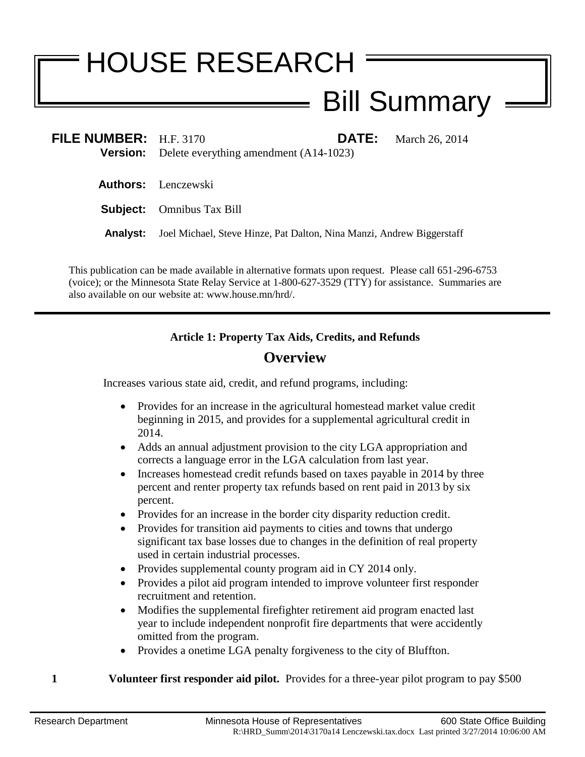# HOUSE RESEARCH

# Bill Summary

| FILE NUMBER: $H.F. 3170$ | <b>DATE:</b><br>March 26, 2014<br><b>Version:</b> Delete everything amendment $(A14-1023)$ |
|--------------------------|--------------------------------------------------------------------------------------------|
|                          | <b>Authors:</b> Lenczewski                                                                 |
|                          | <b>Subject:</b> Omnibus Tax Bill                                                           |
| Analvst:                 | Joel Michael, Steve Hinze, Pat Dalton, Nina Manzi, Andrew Biggerstaff                      |

This publication can be made available in alternative formats upon request. Please call 651-296-6753 (voice); or the Minnesota State Relay Service at 1-800-627-3529 (TTY) for assistance. Summaries are also available on our website at: www.house.mn/hrd/.

# **Article 1: Property Tax Aids, Credits, and Refunds**

# **Overview**

Increases various state aid, credit, and refund programs, including:

- Provides for an increase in the agricultural homestead market value credit beginning in 2015, and provides for a supplemental agricultural credit in 2014.
- Adds an annual adjustment provision to the city LGA appropriation and corrects a language error in the LGA calculation from last year.
- Increases homestead credit refunds based on taxes payable in 2014 by three percent and renter property tax refunds based on rent paid in 2013 by six percent.
- Provides for an increase in the border city disparity reduction credit.
- Provides for transition aid payments to cities and towns that undergo significant tax base losses due to changes in the definition of real property used in certain industrial processes.
- Provides supplemental county program aid in CY 2014 only.
- Provides a pilot aid program intended to improve volunteer first responder recruitment and retention.
- Modifies the supplemental firefighter retirement aid program enacted last year to include independent nonprofit fire departments that were accidently omitted from the program.
- Provides a onetime LGA penalty forgiveness to the city of Bluffton.
- **1 Volunteer first responder aid pilot.** Provides for a three-year pilot program to pay \$500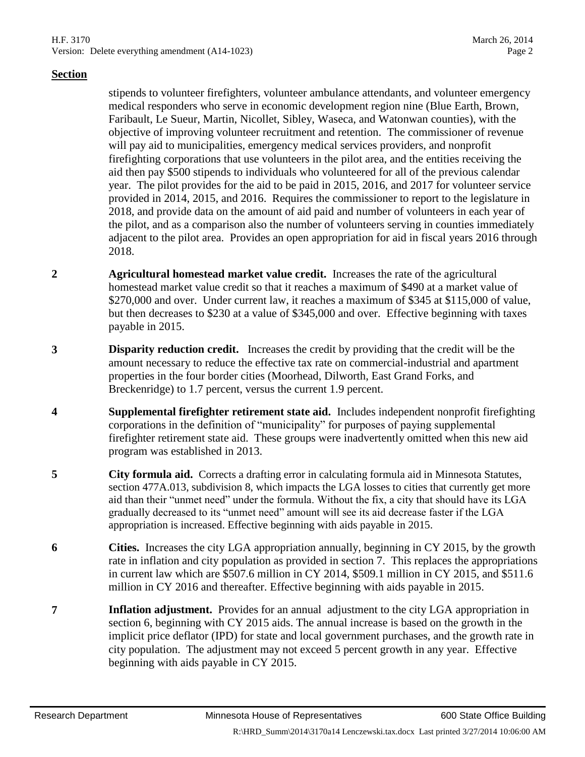stipends to volunteer firefighters, volunteer ambulance attendants, and volunteer emergency medical responders who serve in economic development region nine (Blue Earth, Brown, Faribault, Le Sueur, Martin, Nicollet, Sibley, Waseca, and Watonwan counties), with the objective of improving volunteer recruitment and retention. The commissioner of revenue will pay aid to municipalities, emergency medical services providers, and nonprofit firefighting corporations that use volunteers in the pilot area, and the entities receiving the aid then pay \$500 stipends to individuals who volunteered for all of the previous calendar year. The pilot provides for the aid to be paid in 2015, 2016, and 2017 for volunteer service provided in 2014, 2015, and 2016. Requires the commissioner to report to the legislature in 2018, and provide data on the amount of aid paid and number of volunteers in each year of the pilot, and as a comparison also the number of volunteers serving in counties immediately adjacent to the pilot area. Provides an open appropriation for aid in fiscal years 2016 through 2018.

- **2 Agricultural homestead market value credit.** Increases the rate of the agricultural homestead market value credit so that it reaches a maximum of \$490 at a market value of \$270,000 and over. Under current law, it reaches a maximum of \$345 at \$115,000 of value, but then decreases to \$230 at a value of \$345,000 and over. Effective beginning with taxes payable in 2015.
- **3 Disparity reduction credit.** Increases the credit by providing that the credit will be the amount necessary to reduce the effective tax rate on commercial-industrial and apartment properties in the four border cities (Moorhead, Dilworth, East Grand Forks, and Breckenridge) to 1.7 percent, versus the current 1.9 percent.
- **4 Supplemental firefighter retirement state aid.** Includes independent nonprofit firefighting corporations in the definition of "municipality" for purposes of paying supplemental firefighter retirement state aid. These groups were inadvertently omitted when this new aid program was established in 2013.
- <span id="page-1-2"></span>**5 City formula aid.** Corrects a drafting error in calculating formula aid in Minnesota Statutes, section 477A.013, subdivision 8, which impacts the LGA losses to cities that currently get more aid than their "unmet need" under the formula. Without the fix, a city that should have its LGA gradually decreased to its "unmet need" amount will see its aid decrease faster if the LGA appropriation is increased. Effective beginning with aids payable in 2015.
- <span id="page-1-1"></span>**6 Cities.** Increases the city LGA appropriation annually, beginning in CY 2015, by the growth rate in inflation and city population as provided in section [7.](#page-1-0) This replaces the appropriations in current law which are \$507.6 million in CY 2014, \$509.1 million in CY 2015, and \$511.6 million in CY 2016 and thereafter. Effective beginning with aids payable in 2015.
- <span id="page-1-0"></span>**7 Inflation adjustment.** Provides for an annual adjustment to the city LGA appropriation in section [6,](#page-1-1) beginning with CY 2015 aids. The annual increase is based on the growth in the implicit price deflator (IPD) for state and local government purchases, and the growth rate in city population. The adjustment may not exceed 5 percent growth in any year. Effective beginning with aids payable in CY 2015.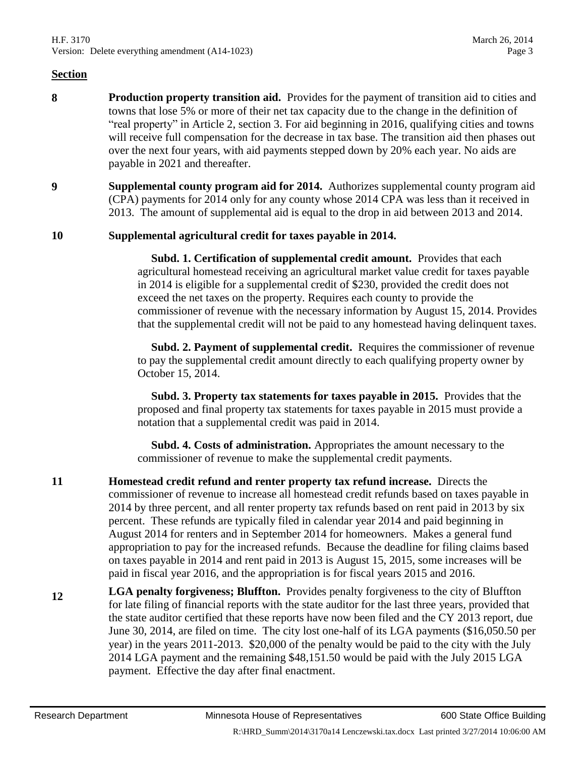- <span id="page-2-0"></span>**8 Production property transition aid.** Provides for the payment of transition aid to cities and towns that lose 5% or more of their net tax capacity due to the change in the definition of "real property" in Article 2, section 3. For aid beginning in 2016, qualifying cities and towns will receive full compensation for the decrease in tax base. The transition aid then phases out over the next four years, with aid payments stepped down by 20% each year. No aids are payable in 2021 and thereafter.
- **9 Supplemental county program aid for 2014.** Authorizes supplemental county program aid (CPA) payments for 2014 only for any county whose 2014 CPA was less than it received in 2013. The amount of supplemental aid is equal to the drop in aid between 2013 and 2014.

#### **10 Supplemental agricultural credit for taxes payable in 2014.**

 **Subd. 1. Certification of supplemental credit amount.** Provides that each agricultural homestead receiving an agricultural market value credit for taxes payable in 2014 is eligible for a supplemental credit of \$230, provided the credit does not exceed the net taxes on the property. Requires each county to provide the commissioner of revenue with the necessary information by August 15, 2014. Provides that the supplemental credit will not be paid to any homestead having delinquent taxes.

 **Subd. 2. Payment of supplemental credit.** Requires the commissioner of revenue to pay the supplemental credit amount directly to each qualifying property owner by October 15, 2014.

 **Subd. 3. Property tax statements for taxes payable in 2015.** Provides that the proposed and final property tax statements for taxes payable in 2015 must provide a notation that a supplemental credit was paid in 2014.

 **Subd. 4. Costs of administration.** Appropriates the amount necessary to the commissioner of revenue to make the supplemental credit payments.

- **11 Homestead credit refund and renter property tax refund increase.** Directs the commissioner of revenue to increase all homestead credit refunds based on taxes payable in 2014 by three percent, and all renter property tax refunds based on rent paid in 2013 by six percent. These refunds are typically filed in calendar year 2014 and paid beginning in August 2014 for renters and in September 2014 for homeowners. Makes a general fund appropriation to pay for the increased refunds. Because the deadline for filing claims based on taxes payable in 2014 and rent paid in 2013 is August 15, 2015, some increases will be paid in fiscal year 2016, and the appropriation is for fiscal years 2015 and 2016.
- **12 LGA penalty forgiveness; Bluffton.** Provides penalty forgiveness to the city of Bluffton for late filing of financial reports with the state auditor for the last three years, provided that the state auditor certified that these reports have now been filed and the CY 2013 report, due June 30, 2014, are filed on time. The city lost one-half of its LGA payments (\$16,050.50 per year) in the years 2011-2013. \$20,000 of the penalty would be paid to the city with the July 2014 LGA payment and the remaining \$48,151.50 would be paid with the July 2015 LGA payment. Effective the day after final enactment.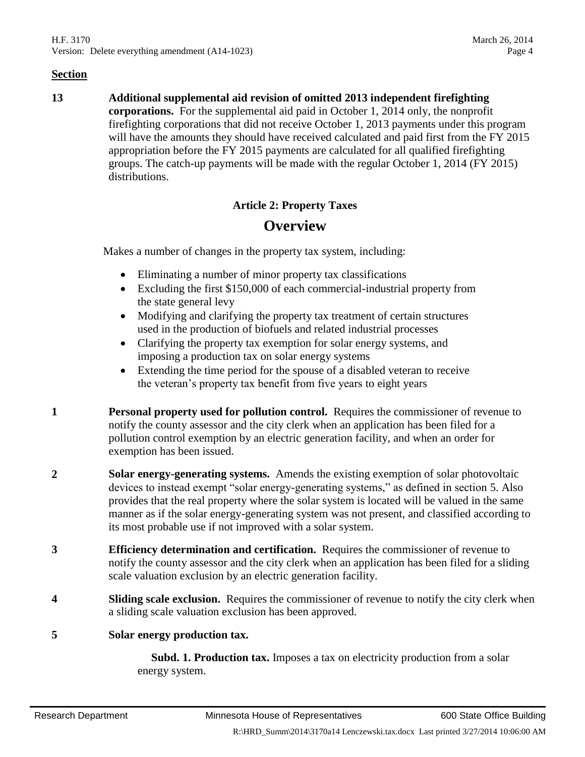**13 Additional supplemental aid revision of omitted 2013 independent firefighting corporations.** For the supplemental aid paid in October 1, 2014 only, the nonprofit firefighting corporations that did not receive October 1, 2013 payments under this program will have the amounts they should have received calculated and paid first from the FY 2015 appropriation before the FY 2015 payments are calculated for all qualified firefighting groups. The catch-up payments will be made with the regular October 1, 2014 (FY 2015) distributions.

# **Article 2: Property Taxes**

# **Overview**

Makes a number of changes in the property tax system, including:

- Eliminating a number of minor property tax classifications
- Excluding the first \$150,000 of each commercial-industrial property from the state general levy
- Modifying and clarifying the property tax treatment of certain structures used in the production of biofuels and related industrial processes
- Clarifying the property tax exemption for solar energy systems, and imposing a production tax on solar energy systems
- Extending the time period for the spouse of a disabled veteran to receive the veteran's property tax benefit from five years to eight years
- **1 Personal property used for pollution control.** Requires the commissioner of revenue to notify the county assessor and the city clerk when an application has been filed for a pollution control exemption by an electric generation facility, and when an order for exemption has been issued.
- **2 Solar energy-generating systems.** Amends the existing exemption of solar photovoltaic devices to instead exempt "solar energy-generating systems," as defined in section [5.](#page-3-0) Also provides that the real property where the solar system is located will be valued in the same manner as if the solar energy-generating system was not present, and classified according to its most probable use if not improved with a solar system.
- **3 Efficiency determination and certification.** Requires the commissioner of revenue to notify the county assessor and the city clerk when an application has been filed for a sliding scale valuation exclusion by an electric generation facility.
- **4 Sliding scale exclusion.** Requires the commissioner of revenue to notify the city clerk when a sliding scale valuation exclusion has been approved.

#### <span id="page-3-0"></span>**5 Solar energy production tax.**

 **Subd. 1. Production tax.** Imposes a tax on electricity production from a solar energy system.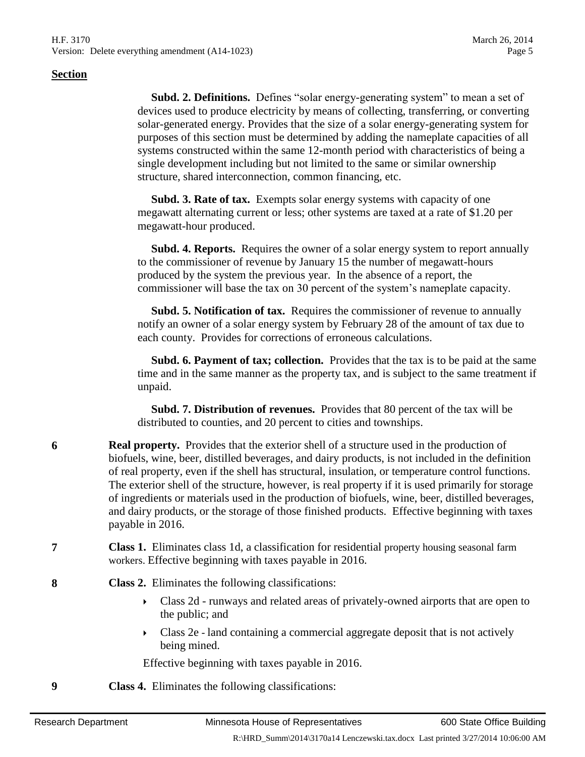**Subd. 2. Definitions.** Defines "solar energy-generating system" to mean a set of devices used to produce electricity by means of collecting, transferring, or converting solar-generated energy. Provides that the size of a solar energy-generating system for purposes of this section must be determined by adding the nameplate capacities of all systems constructed within the same 12-month period with characteristics of being a single development including but not limited to the same or similar ownership structure, shared interconnection, common financing, etc.

 **Subd. 3. Rate of tax.** Exempts solar energy systems with capacity of one megawatt alternating current or less; other systems are taxed at a rate of \$1.20 per megawatt-hour produced.

 **Subd. 4. Reports.** Requires the owner of a solar energy system to report annually to the commissioner of revenue by January 15 the number of megawatt-hours produced by the system the previous year. In the absence of a report, the commissioner will base the tax on 30 percent of the system's nameplate capacity.

 **Subd. 5. Notification of tax.** Requires the commissioner of revenue to annually notify an owner of a solar energy system by February 28 of the amount of tax due to each county. Provides for corrections of erroneous calculations.

 **Subd. 6. Payment of tax; collection.** Provides that the tax is to be paid at the same time and in the same manner as the property tax, and is subject to the same treatment if unpaid.

 **Subd. 7. Distribution of revenues.** Provides that 80 percent of the tax will be distributed to counties, and 20 percent to cities and townships.

- **6 Real property.** Provides that the exterior shell of a structure used in the production of biofuels, wine, beer, distilled beverages, and dairy products, is not included in the definition of real property, even if the shell has structural, insulation, or temperature control functions. The exterior shell of the structure, however, is real property if it is used primarily for storage of ingredients or materials used in the production of biofuels, wine, beer, distilled beverages, and dairy products, or the storage of those finished products. Effective beginning with taxes payable in 2016.
- **7 Class 1.** Eliminates class 1d, a classification for residential property housing seasonal farm workers. Effective beginning with taxes payable in 2016.
- **8 Class 2.** Eliminates the following classifications:
	- Class 2d runways and related areas of privately-owned airports that are open to the public; and
	- Class 2e land containing a commercial aggregate deposit that is not actively being mined.

Effective beginning with taxes payable in 2016.

**9 Class 4.** Eliminates the following classifications: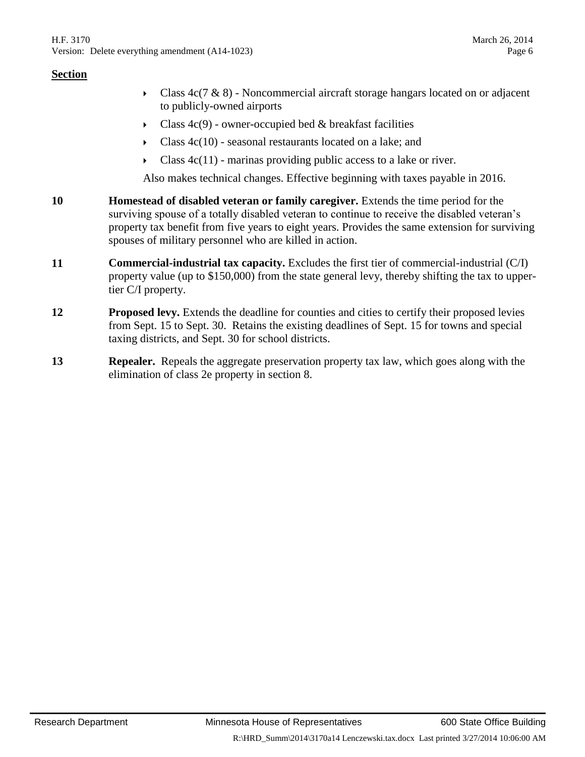- Class  $4c(7 \& 8)$  Noncommercial aircraft storage hangars located on or adjacent to publicly-owned airports
- Class  $4c(9)$  owner-occupied bed & breakfast facilities
- Class 4c(10) seasonal restaurants located on a lake; and
- $\triangleright$  Class 4c(11) marinas providing public access to a lake or river.

Also makes technical changes. Effective beginning with taxes payable in 2016.

- **10 Homestead of disabled veteran or family caregiver.** Extends the time period for the surviving spouse of a totally disabled veteran to continue to receive the disabled veteran's property tax benefit from five years to eight years. Provides the same extension for surviving spouses of military personnel who are killed in action.
- **11 Commercial-industrial tax capacity.** Excludes the first tier of commercial-industrial (C/I) property value (up to \$150,000) from the state general levy, thereby shifting the tax to uppertier C/I property.
- **12 Proposed levy.** Extends the deadline for counties and cities to certify their proposed levies from Sept. 15 to Sept. 30. Retains the existing deadlines of Sept. 15 for towns and special taxing districts, and Sept. 30 for school districts.
- **13 Repealer.** Repeals the aggregate preservation property tax law, which goes along with the elimination of class 2e property in section [8.](#page-2-0)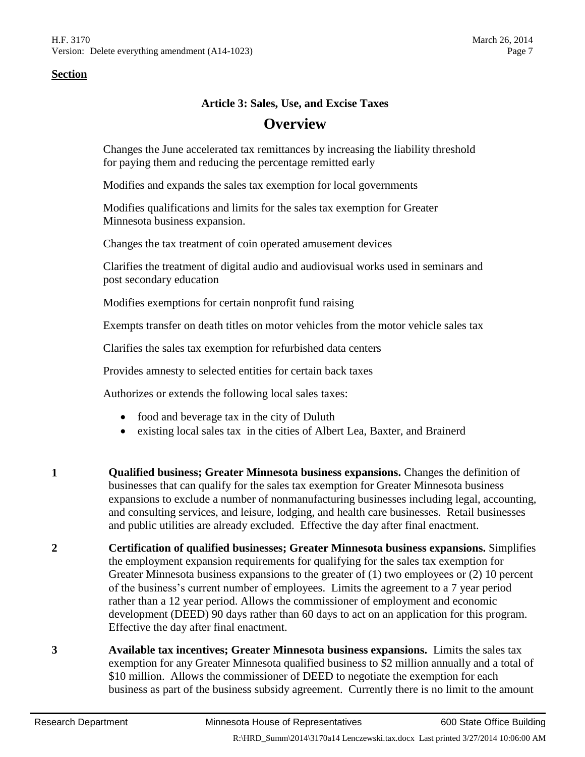#### **Article 3: Sales, Use, and Excise Taxes**

# **Overview**

Changes the June accelerated tax remittances by increasing the liability threshold for paying them and reducing the percentage remitted early

Modifies and expands the sales tax exemption for local governments

Modifies qualifications and limits for the sales tax exemption for Greater Minnesota business expansion.

Changes the tax treatment of coin operated amusement devices

Clarifies the treatment of digital audio and audiovisual works used in seminars and post secondary education

Modifies exemptions for certain nonprofit fund raising

Exempts transfer on death titles on motor vehicles from the motor vehicle sales tax

Clarifies the sales tax exemption for refurbished data centers

Provides amnesty to selected entities for certain back taxes

Authorizes or extends the following local sales taxes:

- food and beverage tax in the city of Duluth
- existing local sales tax in the cities of Albert Lea, Baxter, and Brainerd
- **1 Qualified business; Greater Minnesota business expansions.** Changes the definition of businesses that can qualify for the sales tax exemption for Greater Minnesota business expansions to exclude a number of nonmanufacturing businesses including legal, accounting, and consulting services, and leisure, lodging, and health care businesses. Retail businesses and public utilities are already excluded. Effective the day after final enactment.
- **2 Certification of qualified businesses; Greater Minnesota business expansions.** Simplifies the employment expansion requirements for qualifying for the sales tax exemption for Greater Minnesota business expansions to the greater of (1) two employees or (2) 10 percent of the business's current number of employees. Limits the agreement to a 7 year period rather than a 12 year period. Allows the commissioner of employment and economic development (DEED) 90 days rather than 60 days to act on an application for this program. Effective the day after final enactment.
- **3 Available tax incentives; Greater Minnesota business expansions.** Limits the sales tax exemption for any Greater Minnesota qualified business to \$2 million annually and a total of \$10 million. Allows the commissioner of DEED to negotiate the exemption for each business as part of the business subsidy agreement. Currently there is no limit to the amount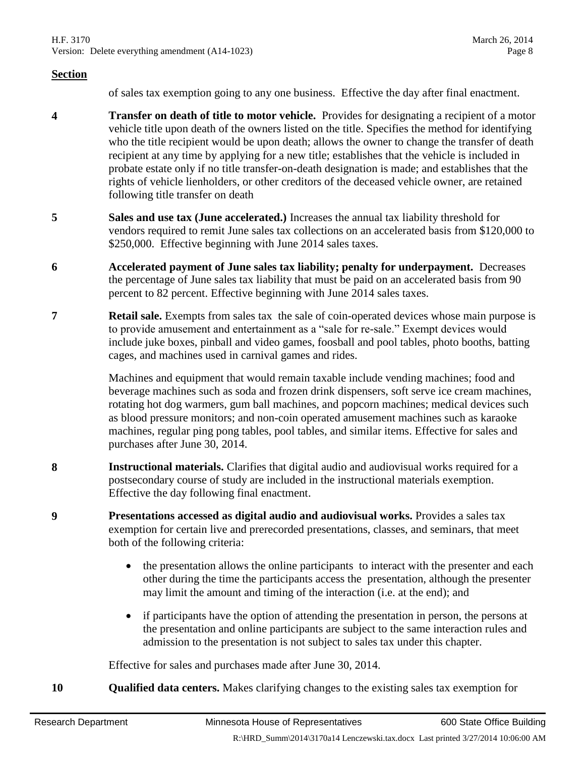of sales tax exemption going to any one business. Effective the day after final enactment.

- **4 Transfer on death of title to motor vehicle.** Provides for designating a recipient of a motor vehicle title upon death of the owners listed on the title. Specifies the method for identifying who the title recipient would be upon death; allows the owner to change the transfer of death recipient at any time by applying for a new title; establishes that the vehicle is included in probate estate only if no title transfer-on-death designation is made; and establishes that the rights of vehicle lienholders, or other creditors of the deceased vehicle owner, are retained following title transfer on death
- **5 Sales and use tax (June accelerated.)** Increases the annual tax liability threshold for vendors required to remit June sales tax collections on an accelerated basis from \$120,000 to \$250,000. Effective beginning with June 2014 sales taxes.
- **6 Accelerated payment of June sales tax liability; penalty for underpayment.** Decreases the percentage of June sales tax liability that must be paid on an accelerated basis from 90 percent to 82 percent. Effective beginning with June 2014 sales taxes.
- **7 Retail sale.** Exempts from sales tax the sale of coin-operated devices whose main purpose is to provide amusement and entertainment as a "sale for re-sale." Exempt devices would include juke boxes, pinball and video games, foosball and pool tables, photo booths, batting cages, and machines used in carnival games and rides.

Machines and equipment that would remain taxable include vending machines; food and beverage machines such as soda and frozen drink dispensers, soft serve ice cream machines, rotating hot dog warmers, gum ball machines, and popcorn machines; medical devices such as blood pressure monitors; and non-coin operated amusement machines such as karaoke machines, regular ping pong tables, pool tables, and similar items. Effective for sales and purchases after June 30, 2014.

- **8 Instructional materials.** Clarifies that digital audio and audiovisual works required for a postsecondary course of study are included in the instructional materials exemption. Effective the day following final enactment.
- **9 Presentations accessed as digital audio and audiovisual works.** Provides a sales tax exemption for certain live and prerecorded presentations, classes, and seminars, that meet both of the following criteria:
	- the presentation allows the online participants to interact with the presenter and each other during the time the participants access the presentation, although the presenter may limit the amount and timing of the interaction (i.e. at the end); and
	- if participants have the option of attending the presentation in person, the persons at the presentation and online participants are subject to the same interaction rules and admission to the presentation is not subject to sales tax under this chapter.

Effective for sales and purchases made after June 30, 2014.

**10 Qualified data centers.** Makes clarifying changes to the existing sales tax exemption for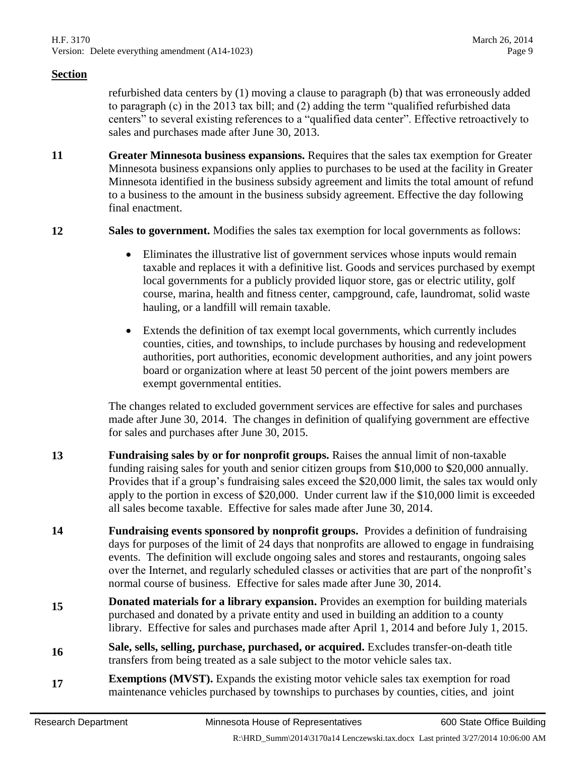refurbished data centers by (1) moving a clause to paragraph (b) that was erroneously added to paragraph (c) in the 2013 tax bill; and (2) adding the term "qualified refurbished data centers" to several existing references to a "qualified data center". Effective retroactively to sales and purchases made after June 30, 2013.

**11 Greater Minnesota business expansions.** Requires that the sales tax exemption for Greater Minnesota business expansions only applies to purchases to be used at the facility in Greater Minnesota identified in the business subsidy agreement and limits the total amount of refund to a business to the amount in the business subsidy agreement. Effective the day following final enactment.

**12 Sales to government.** Modifies the sales tax exemption for local governments as follows:

- Eliminates the illustrative list of government services whose inputs would remain taxable and replaces it with a definitive list. Goods and services purchased by exempt local governments for a publicly provided liquor store, gas or electric utility, golf course, marina, health and fitness center, campground, cafe, laundromat, solid waste hauling, or a landfill will remain taxable.
- Extends the definition of tax exempt local governments, which currently includes counties, cities, and townships, to include purchases by housing and redevelopment authorities, port authorities, economic development authorities, and any joint powers board or organization where at least 50 percent of the joint powers members are exempt governmental entities.

The changes related to excluded government services are effective for sales and purchases made after June 30, 2014. The changes in definition of qualifying government are effective for sales and purchases after June 30, 2015.

- **13 Fundraising sales by or for nonprofit groups.** Raises the annual limit of non-taxable funding raising sales for youth and senior citizen groups from \$10,000 to \$20,000 annually. Provides that if a group's fundraising sales exceed the \$20,000 limit, the sales tax would only apply to the portion in excess of \$20,000. Under current law if the \$10,000 limit is exceeded all sales become taxable. Effective for sales made after June 30, 2014.
- **14 Fundraising events sponsored by nonprofit groups.** Provides a definition of fundraising days for purposes of the limit of 24 days that nonprofits are allowed to engage in fundraising events. The definition will exclude ongoing sales and stores and restaurants, ongoing sales over the Internet, and regularly scheduled classes or activities that are part of the nonprofit's normal course of business. Effective for sales made after June 30, 2014.
- **15 Donated materials for a library expansion.** Provides an exemption for building materials purchased and donated by a private entity and used in building an addition to a county library. Effective for sales and purchases made after April 1, 2014 and before July 1, 2015.
- **<sup>16</sup> Sale, sells, selling, purchase, purchased, or acquired.** Excludes transfer-on-death title transfers from being treated as a sale subject to the motor vehicle sales tax.
- **17 Exemptions (MVST).** Expands the existing motor vehicle sales tax exemption for road maintenance vehicles purchased by townships to purchases by counties, cities, and joint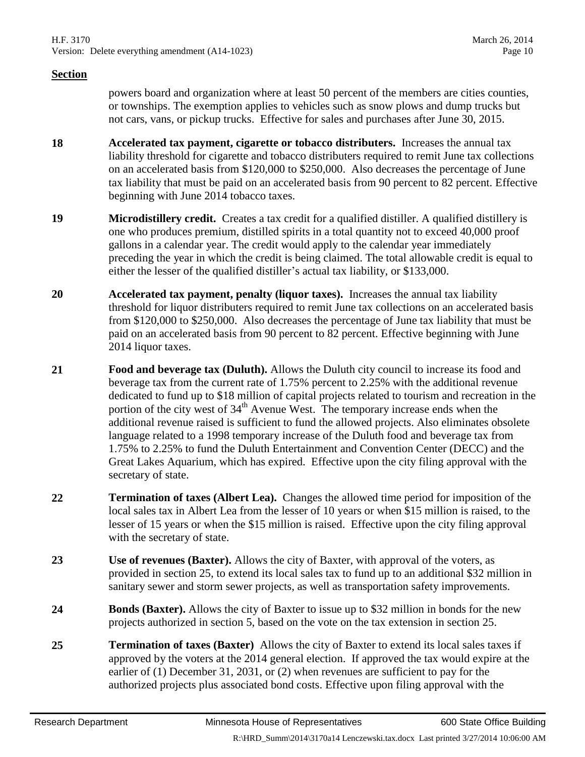powers board and organization where at least 50 percent of the members are cities counties, or townships. The exemption applies to vehicles such as snow plows and dump trucks but not cars, vans, or pickup trucks. Effective for sales and purchases after June 30, 2015.

- **18 Accelerated tax payment, cigarette or tobacco distributers.** Increases the annual tax liability threshold for cigarette and tobacco distributers required to remit June tax collections on an accelerated basis from \$120,000 to \$250,000. Also decreases the percentage of June tax liability that must be paid on an accelerated basis from 90 percent to 82 percent. Effective beginning with June 2014 tobacco taxes.
- **19 Microdistillery credit.** Creates a tax credit for a qualified distiller. A qualified distillery is one who produces premium, distilled spirits in a total quantity not to exceed 40,000 proof gallons in a calendar year. The credit would apply to the calendar year immediately preceding the year in which the credit is being claimed. The total allowable credit is equal to either the lesser of the qualified distiller's actual tax liability, or \$133,000.
- **20 Accelerated tax payment, penalty (liquor taxes).** Increases the annual tax liability threshold for liquor distributers required to remit June tax collections on an accelerated basis from \$120,000 to \$250,000. Also decreases the percentage of June tax liability that must be paid on an accelerated basis from 90 percent to 82 percent. Effective beginning with June 2014 liquor taxes.
- **21 Food and beverage tax (Duluth).** Allows the Duluth city council to increase its food and beverage tax from the current rate of 1.75% percent to 2.25% with the additional revenue dedicated to fund up to \$18 million of capital projects related to tourism and recreation in the portion of the city west of  $34<sup>th</sup>$  Avenue West. The temporary increase ends when the additional revenue raised is sufficient to fund the allowed projects. Also eliminates obsolete language related to a 1998 temporary increase of the Duluth food and beverage tax from 1.75% to 2.25% to fund the Duluth Entertainment and Convention Center (DECC) and the Great Lakes Aquarium, which has expired. Effective upon the city filing approval with the secretary of state.
- **22 Termination of taxes (Albert Lea).** Changes the allowed time period for imposition of the local sales tax in Albert Lea from the lesser of 10 years or when \$15 million is raised, to the lesser of 15 years or when the \$15 million is raised. Effective upon the city filing approval with the secretary of state.
- **23 Use of revenues (Baxter).** Allows the city of Baxter, with approval of the voters, as provided in section [25,](#page-9-0) to extend its local sales tax to fund up to an additional \$32 million in sanitary sewer and storm sewer projects, as well as transportation safety improvements.
- **24 Bonds (Baxter).** Allows the city of Baxter to issue up to \$32 million in bonds for the new projects authorized in section [5,](#page-1-2) based on the vote on the tax extension in section [25.](#page-9-0)
- <span id="page-9-0"></span>**25 Termination of taxes (Baxter)** Allows the city of Baxter to extend its local sales taxes if approved by the voters at the 2014 general election. If approved the tax would expire at the earlier of (1) December 31, 2031, or (2) when revenues are sufficient to pay for the authorized projects plus associated bond costs. Effective upon filing approval with the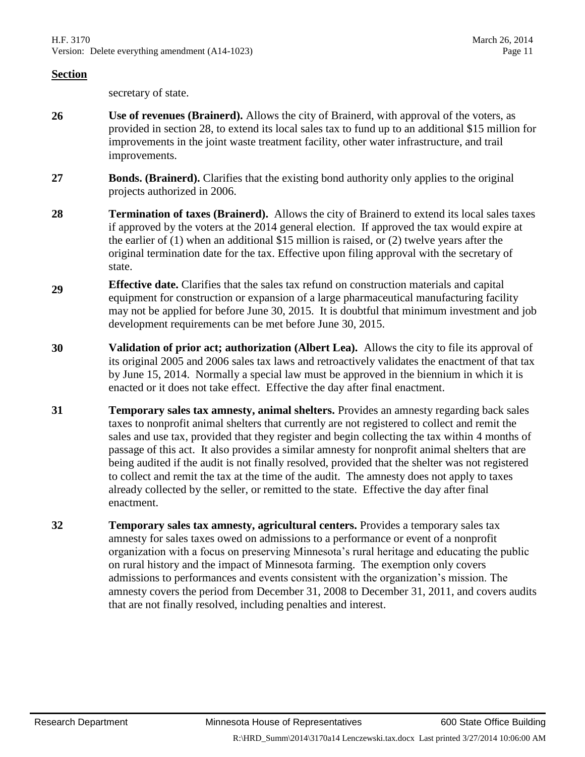secretary of state.

- **26 Use of revenues (Brainerd).** Allows the city of Brainerd, with approval of the voters, as provided in section [28,](#page-10-0) to extend its local sales tax to fund up to an additional \$15 million for improvements in the joint waste treatment facility, other water infrastructure, and trail improvements.
- **27 Bonds. (Brainerd).** Clarifies that the existing bond authority only applies to the original projects authorized in 2006.
- <span id="page-10-0"></span>**28 Termination of taxes (Brainerd).** Allows the city of Brainerd to extend its local sales taxes if approved by the voters at the 2014 general election. If approved the tax would expire at the earlier of (1) when an additional \$15 million is raised, or (2) twelve years after the original termination date for the tax. Effective upon filing approval with the secretary of state.
- **<sup>29</sup> Effective date.** Clarifies that the sales tax refund on construction materials and capital equipment for construction or expansion of a large pharmaceutical manufacturing facility may not be applied for before June 30, 2015. It is doubtful that minimum investment and job development requirements can be met before June 30, 2015.
- **30 Validation of prior act; authorization (Albert Lea).** Allows the city to file its approval of its original 2005 and 2006 sales tax laws and retroactively validates the enactment of that tax by June 15, 2014. Normally a special law must be approved in the biennium in which it is enacted or it does not take effect. Effective the day after final enactment.
- **31 Temporary sales tax amnesty, animal shelters.** Provides an amnesty regarding back sales taxes to nonprofit animal shelters that currently are not registered to collect and remit the sales and use tax, provided that they register and begin collecting the tax within 4 months of passage of this act. It also provides a similar amnesty for nonprofit animal shelters that are being audited if the audit is not finally resolved, provided that the shelter was not registered to collect and remit the tax at the time of the audit. The amnesty does not apply to taxes already collected by the seller, or remitted to the state. Effective the day after final enactment.
- **32 Temporary sales tax amnesty, agricultural centers.** Provides a temporary sales tax amnesty for sales taxes owed on admissions to a performance or event of a nonprofit organization with a focus on preserving Minnesota's rural heritage and educating the public on rural history and the impact of Minnesota farming. The exemption only covers admissions to performances and events consistent with the organization's mission. The amnesty covers the period from December 31, 2008 to December 31, 2011, and covers audits that are not finally resolved, including penalties and interest.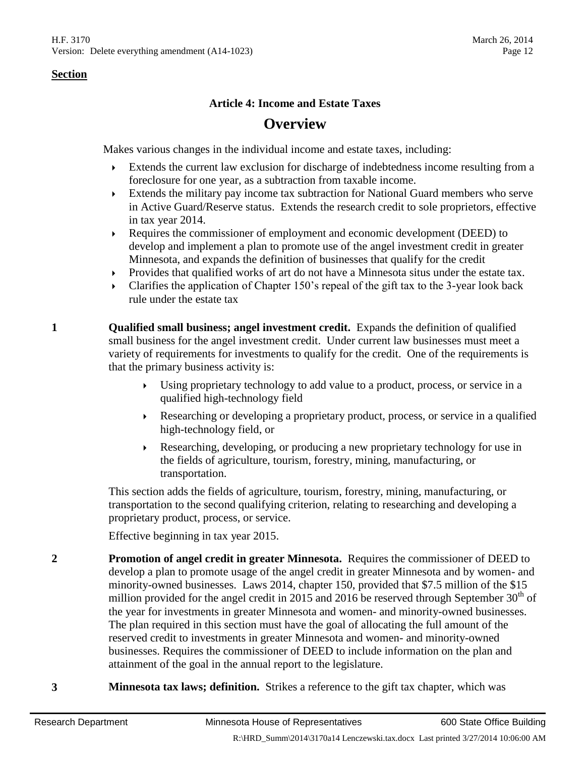### **Article 4: Income and Estate Taxes**

# **Overview**

Makes various changes in the individual income and estate taxes, including:

- Extends the current law exclusion for discharge of indebtedness income resulting from a foreclosure for one year, as a subtraction from taxable income.
- Extends the military pay income tax subtraction for National Guard members who serve in Active Guard/Reserve status. Extends the research credit to sole proprietors, effective in tax year 2014.
- Requires the commissioner of employment and economic development (DEED) to develop and implement a plan to promote use of the angel investment credit in greater Minnesota, and expands the definition of businesses that qualify for the credit
- Provides that qualified works of art do not have a Minnesota situs under the estate tax.
- Clarifies the application of Chapter 150's repeal of the gift tax to the 3-year look back rule under the estate tax
- **1 Qualified small business; angel investment credit.** Expands the definition of qualified small business for the angel investment credit. Under current law businesses must meet a variety of requirements for investments to qualify for the credit. One of the requirements is that the primary business activity is:
	- Using proprietary technology to add value to a product, process, or service in a qualified high-technology field
	- Researching or developing a proprietary product, process, or service in a qualified high-technology field, or
	- Researching, developing, or producing a new proprietary technology for use in the fields of agriculture, tourism, forestry, mining, manufacturing, or transportation.

This section adds the fields of agriculture, tourism, forestry, mining, manufacturing, or transportation to the second qualifying criterion, relating to researching and developing a proprietary product, process, or service.

Effective beginning in tax year 2015.

- **2 Promotion of angel credit in greater Minnesota.** Requires the commissioner of DEED to develop a plan to promote usage of the angel credit in greater Minnesota and by women- and minority-owned businesses. Laws 2014, chapter 150, provided that \$7.5 million of the \$15 million provided for the angel credit in 2015 and 2016 be reserved through September  $30<sup>th</sup>$  of the year for investments in greater Minnesota and women- and minority-owned businesses. The plan required in this section must have the goal of allocating the full amount of the reserved credit to investments in greater Minnesota and women- and minority-owned businesses. Requires the commissioner of DEED to include information on the plan and attainment of the goal in the annual report to the legislature.
- **3 Minnesota tax laws; definition.** Strikes a reference to the gift tax chapter, which was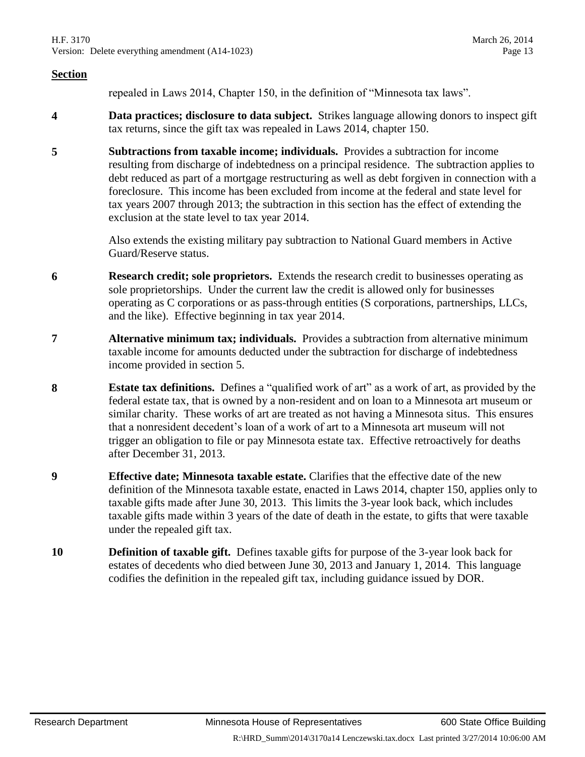repealed in Laws 2014, Chapter 150, in the definition of "Minnesota tax laws".

- **4 Data practices; disclosure to data subject.** Strikes language allowing donors to inspect gift tax returns, since the gift tax was repealed in Laws 2014, chapter 150.
- <span id="page-12-0"></span>**5 Subtractions from taxable income; individuals.** Provides a subtraction for income resulting from discharge of indebtedness on a principal residence. The subtraction applies to debt reduced as part of a mortgage restructuring as well as debt forgiven in connection with a foreclosure. This income has been excluded from income at the federal and state level for tax years 2007 through 2013; the subtraction in this section has the effect of extending the exclusion at the state level to tax year 2014.

Also extends the existing military pay subtraction to National Guard members in Active Guard/Reserve status.

- **6 Research credit; sole proprietors.** Extends the research credit to businesses operating as sole proprietorships. Under the current law the credit is allowed only for businesses operating as C corporations or as pass-through entities (S corporations, partnerships, LLCs, and the like). Effective beginning in tax year 2014.
- **7 Alternative minimum tax; individuals.** Provides a subtraction from alternative minimum taxable income for amounts deducted under the subtraction for discharge of indebtedness income provided in section [5.](#page-12-0)
- **8 Estate tax definitions.** Defines a "qualified work of art" as a work of art, as provided by the federal estate tax, that is owned by a non-resident and on loan to a Minnesota art museum or similar charity. These works of art are treated as not having a Minnesota situs. This ensures that a nonresident decedent's loan of a work of art to a Minnesota art museum will not trigger an obligation to file or pay Minnesota estate tax. Effective retroactively for deaths after December 31, 2013.
- **9 Effective date; Minnesota taxable estate.** Clarifies that the effective date of the new definition of the Minnesota taxable estate, enacted in Laws 2014, chapter 150, applies only to taxable gifts made after June 30, 2013. This limits the 3-year look back, which includes taxable gifts made within 3 years of the date of death in the estate, to gifts that were taxable under the repealed gift tax.
- **10 Definition of taxable gift.** Defines taxable gifts for purpose of the 3-year look back for estates of decedents who died between June 30, 2013 and January 1, 2014. This language codifies the definition in the repealed gift tax, including guidance issued by DOR.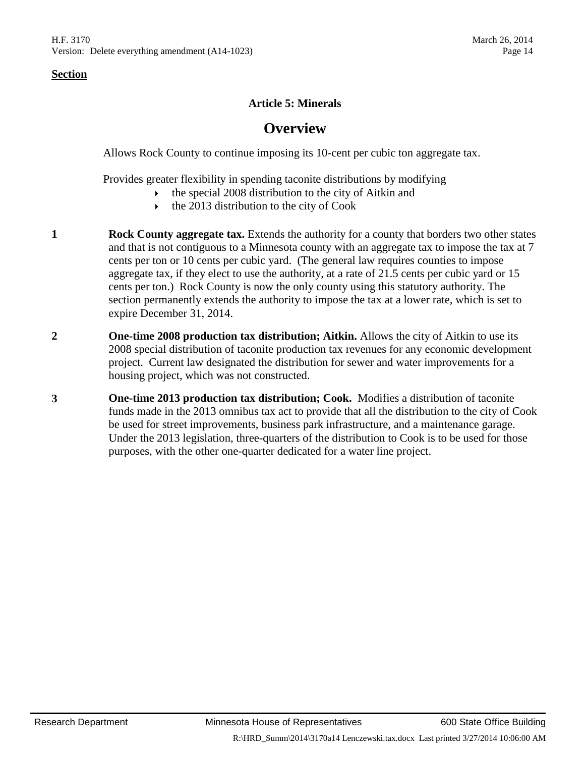# **Article 5: Minerals**

# **Overview**

Allows Rock County to continue imposing its 10-cent per cubic ton aggregate tax.

Provides greater flexibility in spending taconite distributions by modifying

- the special 2008 distribution to the city of Aitkin and
- $\cdot$  the 2013 distribution to the city of Cook
- **1 Rock County aggregate tax.** Extends the authority for a county that borders two other states and that is not contiguous to a Minnesota county with an aggregate tax to impose the tax at 7 cents per ton or 10 cents per cubic yard. (The general law requires counties to impose aggregate tax, if they elect to use the authority, at a rate of 21.5 cents per cubic yard or 15 cents per ton.) Rock County is now the only county using this statutory authority. The section permanently extends the authority to impose the tax at a lower rate, which is set to expire December 31, 2014.
- **2 One-time 2008 production tax distribution; Aitkin.** Allows the city of Aitkin to use its 2008 special distribution of taconite production tax revenues for any economic development project. Current law designated the distribution for sewer and water improvements for a housing project, which was not constructed.
- **3 One-time 2013 production tax distribution; Cook.** Modifies a distribution of taconite funds made in the 2013 omnibus tax act to provide that all the distribution to the city of Cook be used for street improvements, business park infrastructure, and a maintenance garage. Under the 2013 legislation, three-quarters of the distribution to Cook is to be used for those purposes, with the other one-quarter dedicated for a water line project.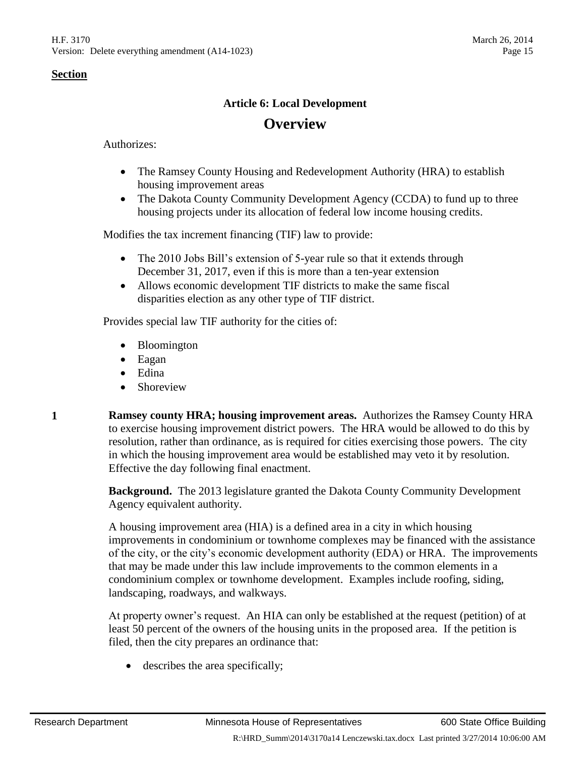#### **Article 6: Local Development**

# **Overview**

Authorizes:

- The Ramsey County Housing and Redevelopment Authority (HRA) to establish housing improvement areas
- The Dakota County Community Development Agency (CCDA) to fund up to three housing projects under its allocation of federal low income housing credits.

Modifies the tax increment financing (TIF) law to provide:

- The 2010 Jobs Bill's extension of 5-year rule so that it extends through December 31, 2017, even if this is more than a ten-year extension
- Allows economic development TIF districts to make the same fiscal disparities election as any other type of TIF district.

Provides special law TIF authority for the cities of:

- Bloomington
- Eagan
- Edina
- Shoreview

**1 Ramsey county HRA; housing improvement areas.** Authorizes the Ramsey County HRA to exercise housing improvement district powers. The HRA would be allowed to do this by resolution, rather than ordinance, as is required for cities exercising those powers. The city in which the housing improvement area would be established may veto it by resolution. Effective the day following final enactment.

> **Background.** The 2013 legislature granted the Dakota County Community Development Agency equivalent authority.

A housing improvement area (HIA) is a defined area in a city in which housing improvements in condominium or townhome complexes may be financed with the assistance of the city, or the city's economic development authority (EDA) or HRA. The improvements that may be made under this law include improvements to the common elements in a condominium complex or townhome development. Examples include roofing, siding, landscaping, roadways, and walkways.

At property owner's request. An HIA can only be established at the request (petition) of at least 50 percent of the owners of the housing units in the proposed area. If the petition is filed, then the city prepares an ordinance that:

describes the area specifically;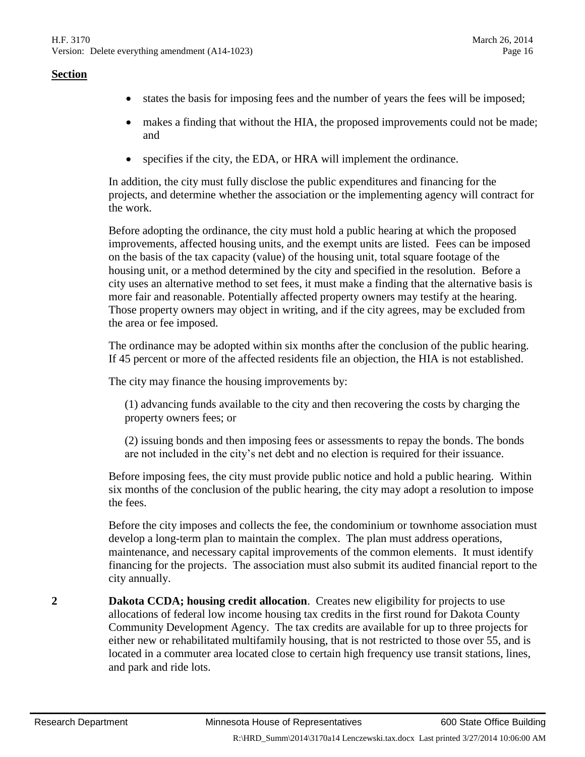- states the basis for imposing fees and the number of years the fees will be imposed;
- makes a finding that without the HIA, the proposed improvements could not be made; and
- specifies if the city, the EDA, or HRA will implement the ordinance.

In addition, the city must fully disclose the public expenditures and financing for the projects, and determine whether the association or the implementing agency will contract for the work.

Before adopting the ordinance, the city must hold a public hearing at which the proposed improvements, affected housing units, and the exempt units are listed. Fees can be imposed on the basis of the tax capacity (value) of the housing unit, total square footage of the housing unit, or a method determined by the city and specified in the resolution. Before a city uses an alternative method to set fees, it must make a finding that the alternative basis is more fair and reasonable. Potentially affected property owners may testify at the hearing. Those property owners may object in writing, and if the city agrees, may be excluded from the area or fee imposed.

The ordinance may be adopted within six months after the conclusion of the public hearing. If 45 percent or more of the affected residents file an objection, the HIA is not established.

The city may finance the housing improvements by:

(1) advancing funds available to the city and then recovering the costs by charging the property owners fees; or

(2) issuing bonds and then imposing fees or assessments to repay the bonds. The bonds are not included in the city's net debt and no election is required for their issuance.

Before imposing fees, the city must provide public notice and hold a public hearing. Within six months of the conclusion of the public hearing, the city may adopt a resolution to impose the fees.

Before the city imposes and collects the fee, the condominium or townhome association must develop a long-term plan to maintain the complex. The plan must address operations, maintenance, and necessary capital improvements of the common elements. It must identify financing for the projects. The association must also submit its audited financial report to the city annually.

**2 Dakota CCDA; housing credit allocation**. Creates new eligibility for projects to use allocations of federal low income housing tax credits in the first round for Dakota County Community Development Agency. The tax credits are available for up to three projects for either new or rehabilitated multifamily housing, that is not restricted to those over 55, and is located in a commuter area located close to certain high frequency use transit stations, lines, and park and ride lots.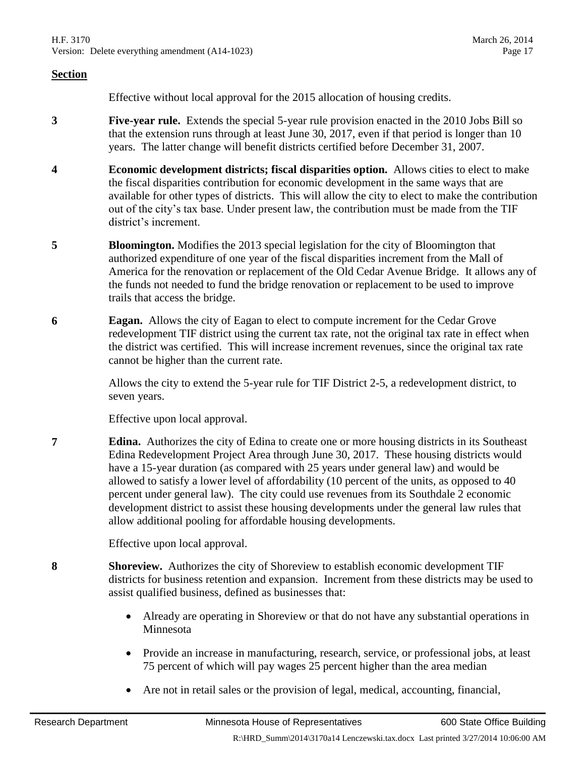Effective without local approval for the 2015 allocation of housing credits.

- **3 Five-year rule.** Extends the special 5-year rule provision enacted in the 2010 Jobs Bill so that the extension runs through at least June 30, 2017, even if that period is longer than 10 years. The latter change will benefit districts certified before December 31, 2007.
- **4 Economic development districts; fiscal disparities option.** Allows cities to elect to make the fiscal disparities contribution for economic development in the same ways that are available for other types of districts. This will allow the city to elect to make the contribution out of the city's tax base. Under present law, the contribution must be made from the TIF district's increment.
- **5 Bloomington.** Modifies the 2013 special legislation for the city of Bloomington that authorized expenditure of one year of the fiscal disparities increment from the Mall of America for the renovation or replacement of the Old Cedar Avenue Bridge. It allows any of the funds not needed to fund the bridge renovation or replacement to be used to improve trails that access the bridge.
- **6 Eagan.** Allows the city of Eagan to elect to compute increment for the Cedar Grove redevelopment TIF district using the current tax rate, not the original tax rate in effect when the district was certified. This will increase increment revenues, since the original tax rate cannot be higher than the current rate.

Allows the city to extend the 5-year rule for TIF District 2-5, a redevelopment district, to seven years.

Effective upon local approval.

**7 Edina.** Authorizes the city of Edina to create one or more housing districts in its Southeast Edina Redevelopment Project Area through June 30, 2017. These housing districts would have a 15-year duration (as compared with 25 years under general law) and would be allowed to satisfy a lower level of affordability (10 percent of the units, as opposed to 40 percent under general law). The city could use revenues from its Southdale 2 economic development district to assist these housing developments under the general law rules that allow additional pooling for affordable housing developments.

Effective upon local approval.

- **8 Shoreview.** Authorizes the city of Shoreview to establish economic development TIF districts for business retention and expansion. Increment from these districts may be used to assist qualified business, defined as businesses that:
	- Already are operating in Shoreview or that do not have any substantial operations in Minnesota
	- Provide an increase in manufacturing, research, service, or professional jobs, at least 75 percent of which will pay wages 25 percent higher than the area median
	- Are not in retail sales or the provision of legal, medical, accounting, financial,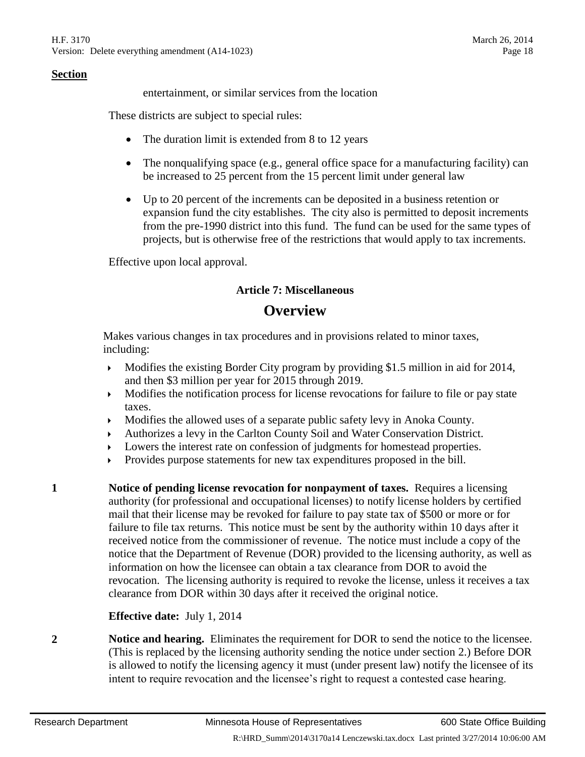entertainment, or similar services from the location

These districts are subject to special rules:

- The duration limit is extended from 8 to 12 years
- The nonqualifying space (e.g., general office space for a manufacturing facility) can be increased to 25 percent from the 15 percent limit under general law
- Up to 20 percent of the increments can be deposited in a business retention or expansion fund the city establishes. The city also is permitted to deposit increments from the pre-1990 district into this fund. The fund can be used for the same types of projects, but is otherwise free of the restrictions that would apply to tax increments.

Effective upon local approval.

#### **Article 7: Miscellaneous**

# **Overview**

Makes various changes in tax procedures and in provisions related to minor taxes, including:

- Modifies the existing Border City program by providing \$1.5 million in aid for 2014, and then \$3 million per year for 2015 through 2019.
- Modifies the notification process for license revocations for failure to file or pay state taxes.
- Modifies the allowed uses of a separate public safety levy in Anoka County.
- Authorizes a levy in the Carlton County Soil and Water Conservation District.
- Lowers the interest rate on confession of judgments for homestead properties.
- Provides purpose statements for new tax expenditures proposed in the bill.

**1 Notice of pending license revocation for nonpayment of taxes.** Requires a licensing authority (for professional and occupational licenses) to notify license holders by certified mail that their license may be revoked for failure to pay state tax of \$500 or more or for failure to file tax returns. This notice must be sent by the authority within 10 days after it received notice from the commissioner of revenue. The notice must include a copy of the notice that the Department of Revenue (DOR) provided to the licensing authority, as well as information on how the licensee can obtain a tax clearance from DOR to avoid the revocation. The licensing authority is required to revoke the license, unless it receives a tax clearance from DOR within 30 days after it received the original notice.

#### **Effective date:** July 1, 2014

**2 Notice and hearing.** Eliminates the requirement for DOR to send the notice to the licensee. (This is replaced by the licensing authority sending the notice under section 2.) Before DOR is allowed to notify the licensing agency it must (under present law) notify the licensee of its intent to require revocation and the licensee's right to request a contested case hearing.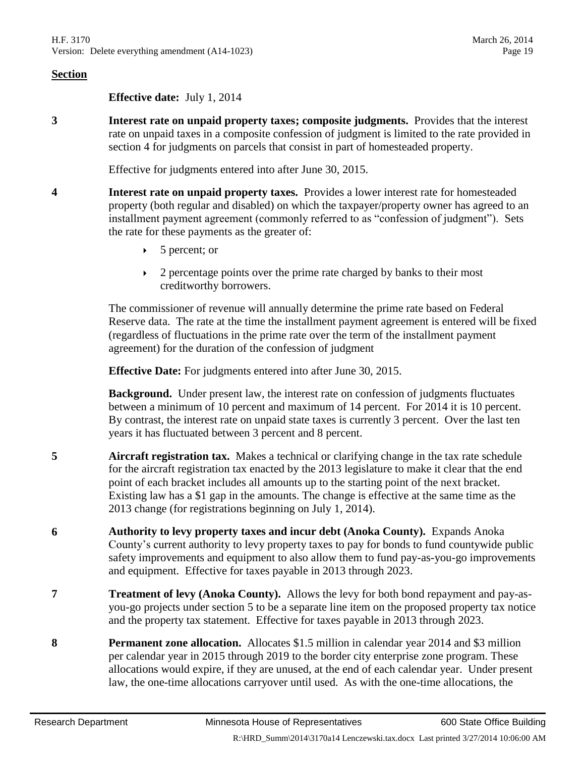**Effective date:** July 1, 2014

**3 Interest rate on unpaid property taxes; composite judgments.** Provides that the interest rate on unpaid taxes in a composite confession of judgment is limited to the rate provided in section [4](#page-18-0) for judgments on parcels that consist in part of homesteaded property.

Effective for judgments entered into after June 30, 2015.

- <span id="page-18-0"></span>**4 Interest rate on unpaid property taxes.** Provides a lower interest rate for homesteaded property (both regular and disabled) on which the taxpayer/property owner has agreed to an installment payment agreement (commonly referred to as "confession of judgment"). Sets the rate for these payments as the greater of:
	- $\triangleright$  5 percent; or
	- 2 percentage points over the prime rate charged by banks to their most creditworthy borrowers.

The commissioner of revenue will annually determine the prime rate based on Federal Reserve data. The rate at the time the installment payment agreement is entered will be fixed (regardless of fluctuations in the prime rate over the term of the installment payment agreement) for the duration of the confession of judgment

**Effective Date:** For judgments entered into after June 30, 2015.

**Background.** Under present law, the interest rate on confession of judgments fluctuates between a minimum of 10 percent and maximum of 14 percent. For 2014 it is 10 percent. By contrast, the interest rate on unpaid state taxes is currently 3 percent. Over the last ten years it has fluctuated between 3 percent and 8 percent.

- **5 Aircraft registration tax.** Makes a technical or clarifying change in the tax rate schedule for the aircraft registration tax enacted by the 2013 legislature to make it clear that the end point of each bracket includes all amounts up to the starting point of the next bracket. Existing law has a \$1 gap in the amounts. The change is effective at the same time as the 2013 change (for registrations beginning on July 1, 2014).
- **6 Authority to levy property taxes and incur debt (Anoka County).** Expands Anoka County's current authority to levy property taxes to pay for bonds to fund countywide public safety improvements and equipment to also allow them to fund pay-as-you-go improvements and equipment. Effective for taxes payable in 2013 through 2023.
- **7 Treatment of levy (Anoka County).** Allows the levy for both bond repayment and pay-asyou-go projects under section [5](#page-1-2) to be a separate line item on the proposed property tax notice and the property tax statement. Effective for taxes payable in 2013 through 2023.
- **8 Permanent zone allocation.** Allocates \$1.5 million in calendar year 2014 and \$3 million per calendar year in 2015 through 2019 to the border city enterprise zone program. These allocations would expire, if they are unused, at the end of each calendar year. Under present law, the one-time allocations carryover until used. As with the one-time allocations, the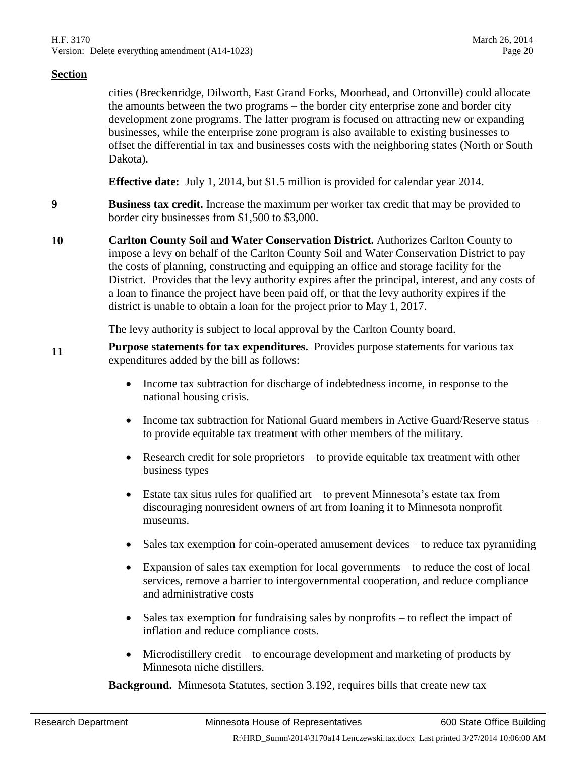cities (Breckenridge, Dilworth, East Grand Forks, Moorhead, and Ortonville) could allocate the amounts between the two programs – the border city enterprise zone and border city development zone programs. The latter program is focused on attracting new or expanding businesses, while the enterprise zone program is also available to existing businesses to offset the differential in tax and businesses costs with the neighboring states (North or South Dakota).

**Effective date:** July 1, 2014, but \$1.5 million is provided for calendar year 2014.

**9 Business tax credit.** Increase the maximum per worker tax credit that may be provided to border city businesses from \$1,500 to \$3,000.

**10 Carlton County Soil and Water Conservation District.** Authorizes Carlton County to impose a levy on behalf of the Carlton County Soil and Water Conservation District to pay the costs of planning, constructing and equipping an office and storage facility for the District. Provides that the levy authority expires after the principal, interest, and any costs of a loan to finance the project have been paid off, or that the levy authority expires if the district is unable to obtain a loan for the project prior to May 1, 2017.

The levy authority is subject to local approval by the Carlton County board.

**11 Purpose statements for tax expenditures.** Provides purpose statements for various tax expenditures added by the bill as follows:

- Income tax subtraction for discharge of indebtedness income, in response to the national housing crisis.
- Income tax subtraction for National Guard members in Active Guard/Reserve status to provide equitable tax treatment with other members of the military.
- Research credit for sole proprietors to provide equitable tax treatment with other business types
- Estate tax situs rules for qualified art to prevent Minnesota's estate tax from discouraging nonresident owners of art from loaning it to Minnesota nonprofit museums.
- Sales tax exemption for coin-operated amusement devices to reduce tax pyramiding
- Expansion of sales tax exemption for local governments to reduce the cost of local services, remove a barrier to intergovernmental cooperation, and reduce compliance and administrative costs
- Sales tax exemption for fundraising sales by nonprofits to reflect the impact of inflation and reduce compliance costs.
- Microdistillery credit to encourage development and marketing of products by Minnesota niche distillers.

**Background.** Minnesota Statutes, section 3.192, requires bills that create new tax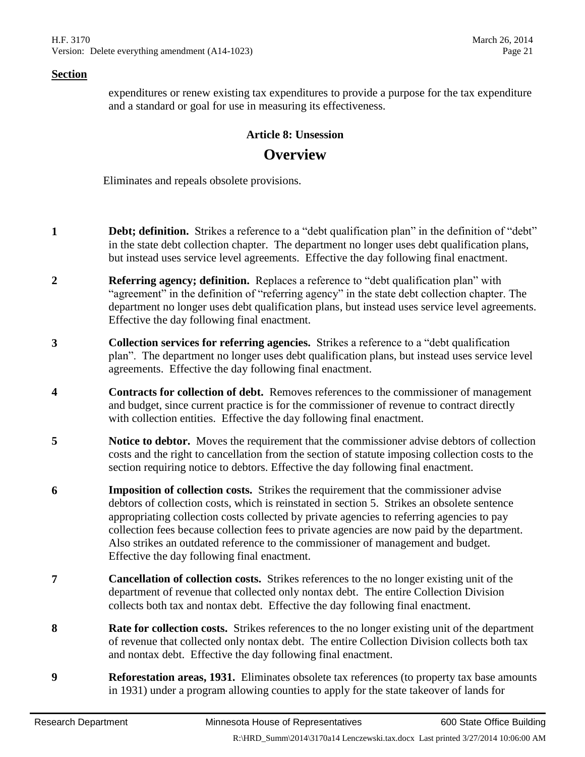expenditures or renew existing tax expenditures to provide a purpose for the tax expenditure and a standard or goal for use in measuring its effectiveness.

#### **Article 8: Unsession**

# **Overview**

Eliminates and repeals obsolete provisions.

- **1 Debt; definition.** Strikes a reference to a "debt qualification plan" in the definition of "debt" in the state debt collection chapter. The department no longer uses debt qualification plans, but instead uses service level agreements. Effective the day following final enactment.
- **2 Referring agency; definition.** Replaces a reference to "debt qualification plan" with "agreement" in the definition of "referring agency" in the state debt collection chapter. The department no longer uses debt qualification plans, but instead uses service level agreements. Effective the day following final enactment.
- **3 Collection services for referring agencies.** Strikes a reference to a "debt qualification plan". The department no longer uses debt qualification plans, but instead uses service level agreements. Effective the day following final enactment.
- **4 Contracts for collection of debt.** Removes references to the commissioner of management and budget, since current practice is for the commissioner of revenue to contract directly with collection entities. Effective the day following final enactment.
- <span id="page-20-0"></span>**5 Notice to debtor.** Moves the requirement that the commissioner advise debtors of collection costs and the right to cancellation from the section of statute imposing collection costs to the section requiring notice to debtors. Effective the day following final enactment.
- **6 Imposition of collection costs.** Strikes the requirement that the commissioner advise debtors of collection costs, which is reinstated in section [5.](#page-20-0) Strikes an obsolete sentence appropriating collection costs collected by private agencies to referring agencies to pay collection fees because collection fees to private agencies are now paid by the department. Also strikes an outdated reference to the commissioner of management and budget. Effective the day following final enactment.
- **7 Cancellation of collection costs.** Strikes references to the no longer existing unit of the department of revenue that collected only nontax debt. The entire Collection Division collects both tax and nontax debt. Effective the day following final enactment.
- **8 Rate for collection costs.** Strikes references to the no longer existing unit of the department of revenue that collected only nontax debt. The entire Collection Division collects both tax and nontax debt. Effective the day following final enactment.
- **9 Reforestation areas, 1931.** Eliminates obsolete tax references (to property tax base amounts in 1931) under a program allowing counties to apply for the state takeover of lands for

R:\HRD\_Summ\2014\3170a14 Lenczewski.tax.docx Last printed 3/27/2014 10:06:00 AM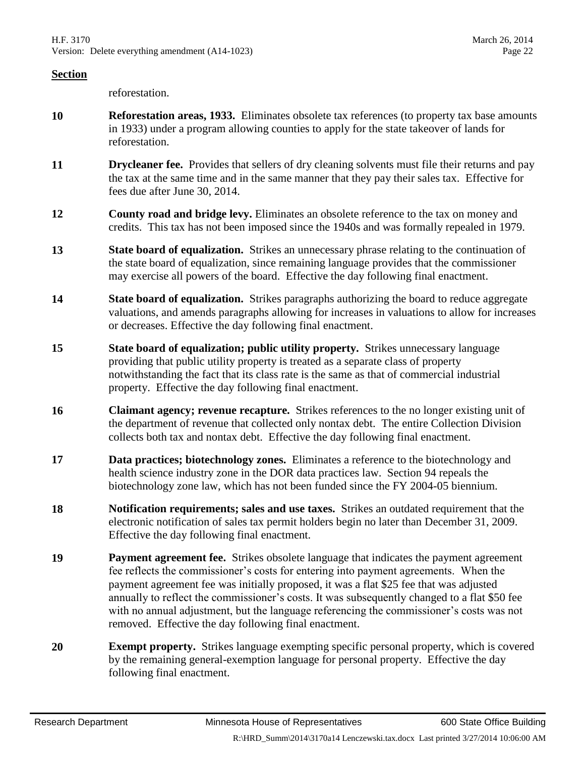reforestation.

- **10 Reforestation areas, 1933.** Eliminates obsolete tax references (to property tax base amounts in 1933) under a program allowing counties to apply for the state takeover of lands for reforestation.
- **11 Drycleaner fee.** Provides that sellers of dry cleaning solvents must file their returns and pay the tax at the same time and in the same manner that they pay their sales tax. Effective for fees due after June 30, 2014.
- **12 County road and bridge levy.** Eliminates an obsolete reference to the tax on money and credits. This tax has not been imposed since the 1940s and was formally repealed in 1979.
- **13 State board of equalization.** Strikes an unnecessary phrase relating to the continuation of the state board of equalization, since remaining language provides that the commissioner may exercise all powers of the board. Effective the day following final enactment.
- <span id="page-21-0"></span>**14 State board of equalization.** Strikes paragraphs authorizing the board to reduce aggregate valuations, and amends paragraphs allowing for increases in valuations to allow for increases or decreases. Effective the day following final enactment.
- **15 State board of equalization; public utility property.** Strikes unnecessary language providing that public utility property is treated as a separate class of property notwithstanding the fact that its class rate is the same as that of commercial industrial property. Effective the day following final enactment.
- **16 Claimant agency; revenue recapture.** Strikes references to the no longer existing unit of the department of revenue that collected only nontax debt. The entire Collection Division collects both tax and nontax debt. Effective the day following final enactment.
- **17 Data practices; biotechnology zones.** Eliminates a reference to the biotechnology and health science industry zone in the DOR data practices law. Section [94](#page-27-0) repeals the biotechnology zone law, which has not been funded since the FY 2004-05 biennium.
- **18 Notification requirements; sales and use taxes.** Strikes an outdated requirement that the electronic notification of sales tax permit holders begin no later than December 31, 2009. Effective the day following final enactment.
- **19 Payment agreement fee.** Strikes obsolete language that indicates the payment agreement fee reflects the commissioner's costs for entering into payment agreements. When the payment agreement fee was initially proposed, it was a flat \$25 fee that was adjusted annually to reflect the commissioner's costs. It was subsequently changed to a flat \$50 fee with no annual adjustment, but the language referencing the commissioner's costs was not removed. Effective the day following final enactment.
- **20 Exempt property.** Strikes language exempting specific personal property, which is covered by the remaining general-exemption language for personal property. Effective the day following final enactment.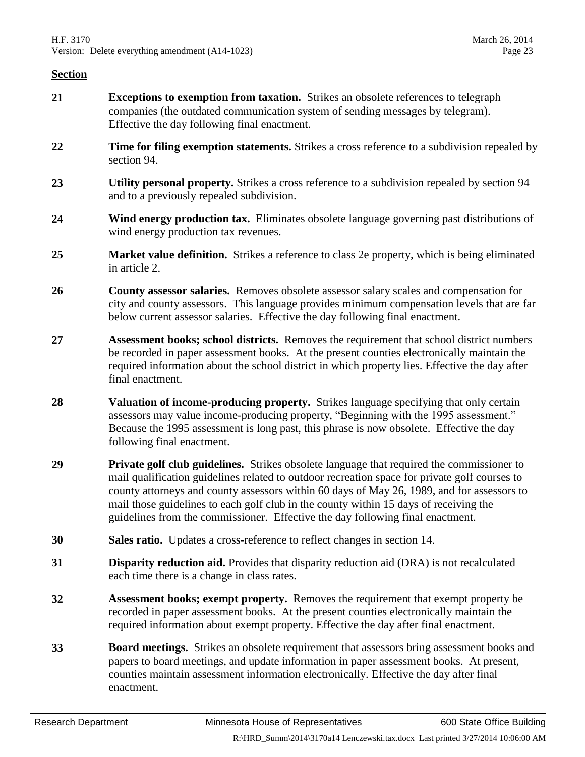- **21 Exceptions to exemption from taxation.** Strikes an obsolete references to telegraph companies (the outdated communication system of sending messages by telegram). Effective the day following final enactment.
- **22 Time for filing exemption statements.** Strikes a cross reference to a subdivision repealed by section [94.](#page-27-0)
- **23 Utility personal property.** Strikes a cross reference to a subdivision repealed by section [94](#page-27-0) and to a previously repealed subdivision.
- **24 Wind energy production tax.** Eliminates obsolete language governing past distributions of wind energy production tax revenues.
- **25 Market value definition.** Strikes a reference to class 2e property, which is being eliminated in article 2.
- **26 County assessor salaries.** Removes obsolete assessor salary scales and compensation for city and county assessors. This language provides minimum compensation levels that are far below current assessor salaries. Effective the day following final enactment.
- **27 Assessment books; school districts.** Removes the requirement that school district numbers be recorded in paper assessment books. At the present counties electronically maintain the required information about the school district in which property lies. Effective the day after final enactment.
- **28 Valuation of income-producing property.** Strikes language specifying that only certain assessors may value income-producing property, "Beginning with the 1995 assessment." Because the 1995 assessment is long past, this phrase is now obsolete. Effective the day following final enactment.
- **29 Private golf club guidelines.** Strikes obsolete language that required the commissioner to mail qualification guidelines related to outdoor recreation space for private golf courses to county attorneys and county assessors within 60 days of May 26, 1989, and for assessors to mail those guidelines to each golf club in the county within 15 days of receiving the guidelines from the commissioner. Effective the day following final enactment.
- **30 Sales ratio.** Updates a cross-reference to reflect changes in section [14.](#page-21-0)
- **31 Disparity reduction aid.** Provides that disparity reduction aid (DRA) is not recalculated each time there is a change in class rates.
- **32 Assessment books; exempt property.** Removes the requirement that exempt property be recorded in paper assessment books. At the present counties electronically maintain the required information about exempt property. Effective the day after final enactment.
- **33 Board meetings.** Strikes an obsolete requirement that assessors bring assessment books and papers to board meetings, and update information in paper assessment books. At present, counties maintain assessment information electronically. Effective the day after final enactment.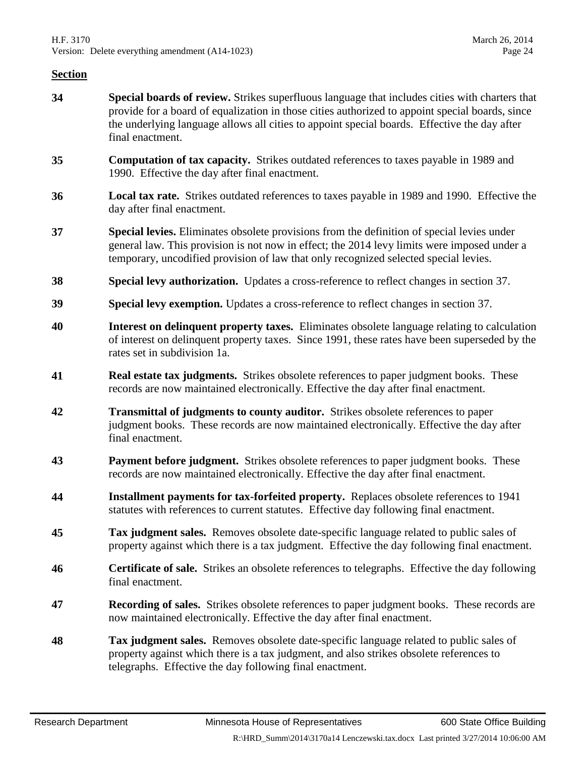- **34 Special boards of review.** Strikes superfluous language that includes cities with charters that provide for a board of equalization in those cities authorized to appoint special boards, since the underlying language allows all cities to appoint special boards. Effective the day after final enactment.
- **35 Computation of tax capacity.** Strikes outdated references to taxes payable in 1989 and 1990. Effective the day after final enactment.
- **36 Local tax rate.** Strikes outdated references to taxes payable in 1989 and 1990. Effective the day after final enactment.
- <span id="page-23-0"></span>**37 Special levies.** Eliminates obsolete provisions from the definition of special levies under general law. This provision is not now in effect; the 2014 levy limits were imposed under a temporary, uncodified provision of law that only recognized selected special levies.
- **38 Special levy authorization.** Updates a cross-reference to reflect changes in section [37.](#page-23-0)
- **39 Special levy exemption.** Updates a cross-reference to reflect changes in section [37.](#page-23-0)
- **40 Interest on delinquent property taxes.** Eliminates obsolete language relating to calculation of interest on delinquent property taxes. Since 1991, these rates have been superseded by the rates set in subdivision 1a.
- **41 Real estate tax judgments.** Strikes obsolete references to paper judgment books. These records are now maintained electronically. Effective the day after final enactment.
- **42 Transmittal of judgments to county auditor.** Strikes obsolete references to paper judgment books. These records are now maintained electronically. Effective the day after final enactment.
- **43 Payment before judgment.** Strikes obsolete references to paper judgment books. These records are now maintained electronically. Effective the day after final enactment.
- **44 Installment payments for tax-forfeited property.** Replaces obsolete references to 1941 statutes with references to current statutes. Effective day following final enactment.
- **45 Tax judgment sales.** Removes obsolete date-specific language related to public sales of property against which there is a tax judgment. Effective the day following final enactment.
- **46 Certificate of sale.** Strikes an obsolete references to telegraphs. Effective the day following final enactment.
- **47 Recording of sales.** Strikes obsolete references to paper judgment books. These records are now maintained electronically. Effective the day after final enactment.
- **48 Tax judgment sales.** Removes obsolete date-specific language related to public sales of property against which there is a tax judgment, and also strikes obsolete references to telegraphs. Effective the day following final enactment.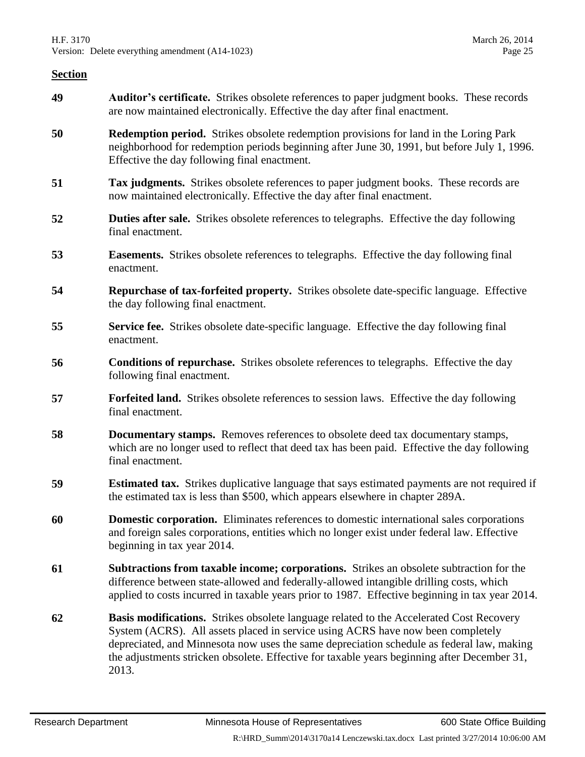- **49 Auditor's certificate.** Strikes obsolete references to paper judgment books. These records are now maintained electronically. Effective the day after final enactment.
- **50 Redemption period.** Strikes obsolete redemption provisions for land in the Loring Park neighborhood for redemption periods beginning after June 30, 1991, but before July 1, 1996. Effective the day following final enactment.
- **51 Tax judgments.** Strikes obsolete references to paper judgment books. These records are now maintained electronically. Effective the day after final enactment.
- **52 Duties after sale.** Strikes obsolete references to telegraphs. Effective the day following final enactment.
- **53 Easements.** Strikes obsolete references to telegraphs. Effective the day following final enactment.
- **54 Repurchase of tax-forfeited property.** Strikes obsolete date-specific language. Effective the day following final enactment.
- **55 Service fee.** Strikes obsolete date-specific language. Effective the day following final enactment.
- **56 Conditions of repurchase.** Strikes obsolete references to telegraphs. Effective the day following final enactment.
- **57 Forfeited land.** Strikes obsolete references to session laws. Effective the day following final enactment.
- **58 Documentary stamps.** Removes references to obsolete deed tax documentary stamps, which are no longer used to reflect that deed tax has been paid. Effective the day following final enactment.
- **59 Estimated tax.** Strikes duplicative language that says estimated payments are not required if the estimated tax is less than \$500, which appears elsewhere in chapter 289A.
- **60 Domestic corporation.** Eliminates references to domestic international sales corporations and foreign sales corporations, entities which no longer exist under federal law. Effective beginning in tax year 2014.
- **61 Subtractions from taxable income; corporations.** Strikes an obsolete subtraction for the difference between state-allowed and federally-allowed intangible drilling costs, which applied to costs incurred in taxable years prior to 1987. Effective beginning in tax year 2014.
- <span id="page-24-0"></span>**62 Basis modifications.** Strikes obsolete language related to the Accelerated Cost Recovery System (ACRS). All assets placed in service using ACRS have now been completely depreciated, and Minnesota now uses the same depreciation schedule as federal law, making the adjustments stricken obsolete. Effective for taxable years beginning after December 31, 2013.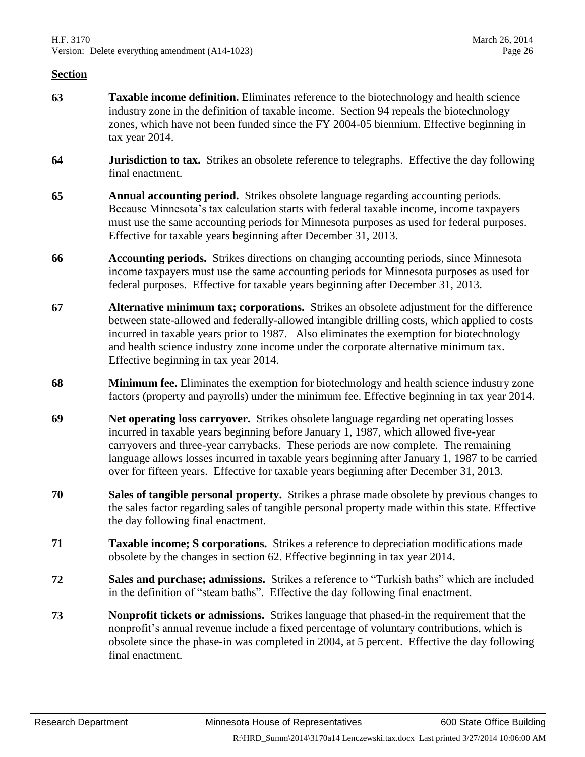- **63 Taxable income definition.** Eliminates reference to the biotechnology and health science industry zone in the definition of taxable income. Section [94](#page-27-0) repeals the biotechnology zones, which have not been funded since the FY 2004-05 biennium. Effective beginning in tax year 2014.
- **64 Jurisdiction to tax.** Strikes an obsolete reference to telegraphs. Effective the day following final enactment.
- **65 Annual accounting period.** Strikes obsolete language regarding accounting periods. Because Minnesota's tax calculation starts with federal taxable income, income taxpayers must use the same accounting periods for Minnesota purposes as used for federal purposes. Effective for taxable years beginning after December 31, 2013.
- **66 Accounting periods.** Strikes directions on changing accounting periods, since Minnesota income taxpayers must use the same accounting periods for Minnesota purposes as used for federal purposes. Effective for taxable years beginning after December 31, 2013.
- **67 Alternative minimum tax; corporations.** Strikes an obsolete adjustment for the difference between state-allowed and federally-allowed intangible drilling costs, which applied to costs incurred in taxable years prior to 1987. Also eliminates the exemption for biotechnology and health science industry zone income under the corporate alternative minimum tax. Effective beginning in tax year 2014.
- **68 Minimum fee.** Eliminates the exemption for biotechnology and health science industry zone factors (property and payrolls) under the minimum fee. Effective beginning in tax year 2014.
- **69 Net operating loss carryover.** Strikes obsolete language regarding net operating losses incurred in taxable years beginning before January 1, 1987, which allowed five-year carryovers and three-year carrybacks. These periods are now complete. The remaining language allows losses incurred in taxable years beginning after January 1, 1987 to be carried over for fifteen years. Effective for taxable years beginning after December 31, 2013.
- **70 Sales of tangible personal property.** Strikes a phrase made obsolete by previous changes to the sales factor regarding sales of tangible personal property made within this state. Effective the day following final enactment.
- **71 Taxable income; S corporations.** Strikes a reference to depreciation modifications made obsolete by the changes in section [62.](#page-24-0) Effective beginning in tax year 2014.
- **72 Sales and purchase; admissions.** Strikes a reference to "Turkish baths" which are included in the definition of "steam baths". Effective the day following final enactment.
- **73 Nonprofit tickets or admissions.** Strikes language that phased-in the requirement that the nonprofit's annual revenue include a fixed percentage of voluntary contributions, which is obsolete since the phase-in was completed in 2004, at 5 percent. Effective the day following final enactment.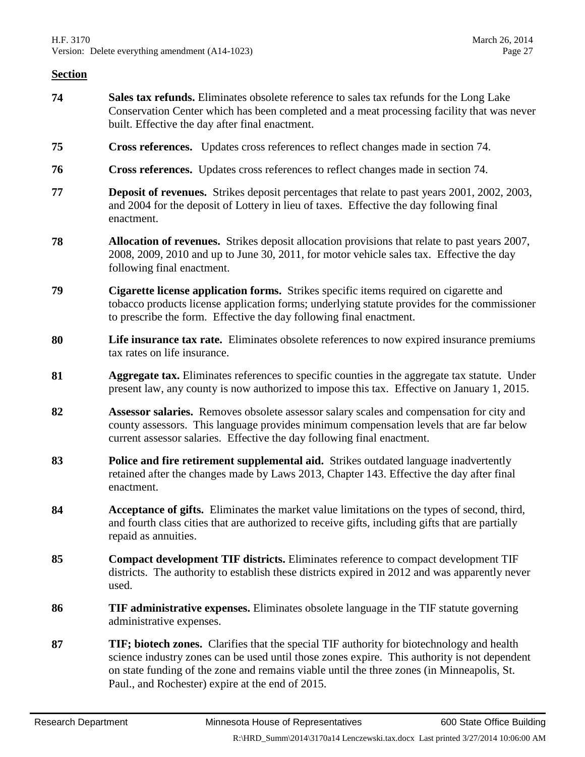- <span id="page-26-0"></span>**74 Sales tax refunds.** Eliminates obsolete reference to sales tax refunds for the Long Lake Conservation Center which has been completed and a meat processing facility that was never built. Effective the day after final enactment.
- **75 Cross references.** Updates cross references to reflect changes made in section [74.](#page-26-0)
- **76 Cross references.** Updates cross references to reflect changes made in section [74.](#page-26-0)
- **77 Deposit of revenues.** Strikes deposit percentages that relate to past years 2001, 2002, 2003, and 2004 for the deposit of Lottery in lieu of taxes. Effective the day following final enactment.
- **78 Allocation of revenues.** Strikes deposit allocation provisions that relate to past years 2007, 2008, 2009, 2010 and up to June 30, 2011, for motor vehicle sales tax. Effective the day following final enactment.
- **79 Cigarette license application forms.** Strikes specific items required on cigarette and tobacco products license application forms; underlying statute provides for the commissioner to prescribe the form. Effective the day following final enactment.
- **80 Life insurance tax rate.** Eliminates obsolete references to now expired insurance premiums tax rates on life insurance.
- **81 Aggregate tax.** Eliminates references to specific counties in the aggregate tax statute. Under present law, any county is now authorized to impose this tax. Effective on January 1, 2015.
- **82 Assessor salaries.** Removes obsolete assessor salary scales and compensation for city and county assessors. This language provides minimum compensation levels that are far below current assessor salaries. Effective the day following final enactment.
- **83 Police and fire retirement supplemental aid.** Strikes outdated language inadvertently retained after the changes made by Laws 2013, Chapter 143. Effective the day after final enactment.
- **84 Acceptance of gifts.** Eliminates the market value limitations on the types of second, third, and fourth class cities that are authorized to receive gifts, including gifts that are partially repaid as annuities.
- **85 Compact development TIF districts.** Eliminates reference to compact development TIF districts. The authority to establish these districts expired in 2012 and was apparently never used.
- **86 TIF administrative expenses.** Eliminates obsolete language in the TIF statute governing administrative expenses.
- **87 TIF; biotech zones.** Clarifies that the special TIF authority for biotechnology and health science industry zones can be used until those zones expire. This authority is not dependent on state funding of the zone and remains viable until the three zones (in Minneapolis, St. Paul., and Rochester) expire at the end of 2015.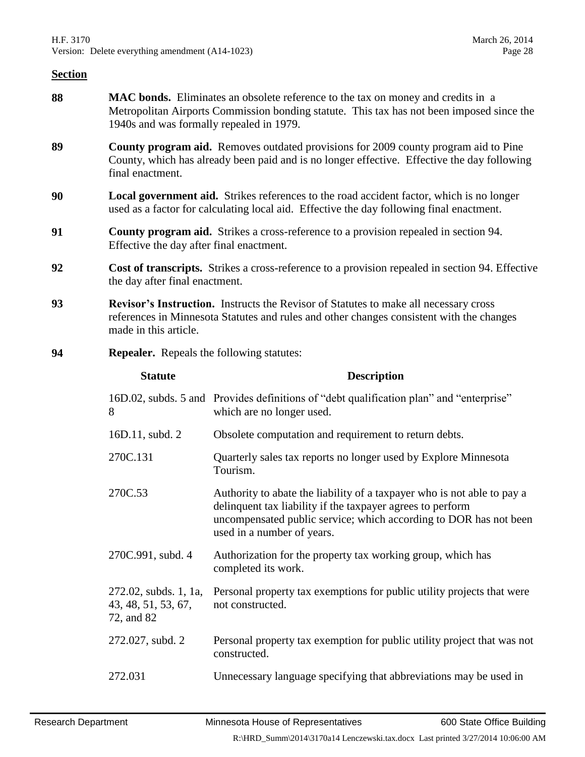- **88 MAC bonds.** Eliminates an obsolete reference to the tax on money and credits in a Metropolitan Airports Commission bonding statute. This tax has not been imposed since the 1940s and was formally repealed in 1979.
- **89 County program aid.** Removes outdated provisions for 2009 county program aid to Pine County, which has already been paid and is no longer effective. Effective the day following final enactment.
- **90 Local government aid.** Strikes references to the road accident factor, which is no longer used as a factor for calculating local aid. Effective the day following final enactment.
- **91 County program aid.** Strikes a cross-reference to a provision repealed in section [94.](#page-27-0) Effective the day after final enactment.
- **92 Cost of transcripts.** Strikes a cross-reference to a provision repealed in section [94.](#page-27-0) Effective the day after final enactment.
- **93 Revisor's Instruction.** Instructs the Revisor of Statutes to make all necessary cross references in Minnesota Statutes and rules and other changes consistent with the changes made in this article.
- <span id="page-27-0"></span>**94 Repealer.** Repeals the following statutes:

| <b>Statute</b>                                             | <b>Description</b>                                                                                                                                                                                                                       |
|------------------------------------------------------------|------------------------------------------------------------------------------------------------------------------------------------------------------------------------------------------------------------------------------------------|
| 8                                                          | 16D.02, subds. 5 and Provides definitions of "debt qualification plan" and "enterprise"<br>which are no longer used.                                                                                                                     |
| 16D.11, subd. 2                                            | Obsolete computation and requirement to return debts.                                                                                                                                                                                    |
| 270C.131                                                   | Quarterly sales tax reports no longer used by Explore Minnesota<br>Tourism.                                                                                                                                                              |
| 270C.53                                                    | Authority to abate the liability of a taxpayer who is not able to pay a<br>delinquent tax liability if the taxpayer agrees to perform<br>uncompensated public service; which according to DOR has not been<br>used in a number of years. |
| 270C.991, subd. 4                                          | Authorization for the property tax working group, which has<br>completed its work.                                                                                                                                                       |
| 272.02, subds. 1, 1a,<br>43, 48, 51, 53, 67,<br>72, and 82 | Personal property tax exemptions for public utility projects that were<br>not constructed.                                                                                                                                               |
| 272.027, subd. 2                                           | Personal property tax exemption for public utility project that was not<br>constructed.                                                                                                                                                  |
| 272.031                                                    | Unnecessary language specifying that abbreviations may be used in                                                                                                                                                                        |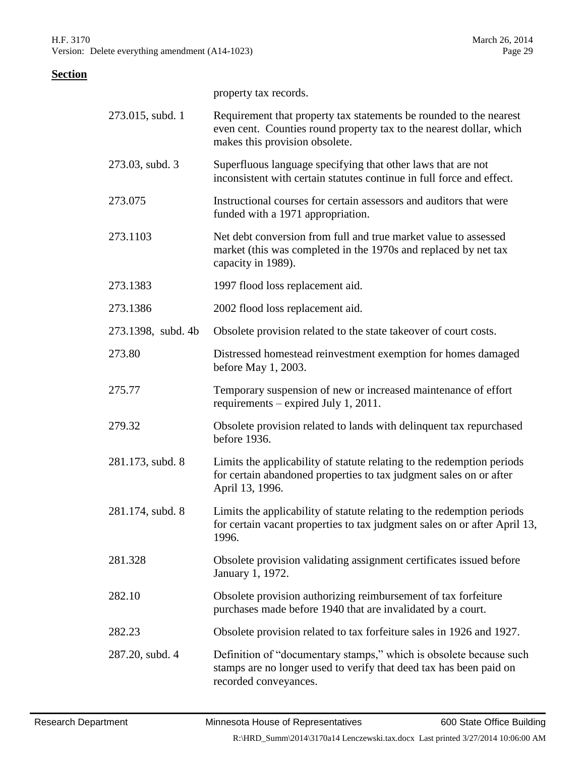property tax records.

| 273.015, subd. 1   | Requirement that property tax statements be rounded to the nearest<br>even cent. Counties round property tax to the nearest dollar, which<br>makes this provision obsolete. |
|--------------------|-----------------------------------------------------------------------------------------------------------------------------------------------------------------------------|
| 273.03, subd. 3    | Superfluous language specifying that other laws that are not<br>inconsistent with certain statutes continue in full force and effect.                                       |
| 273.075            | Instructional courses for certain assessors and auditors that were<br>funded with a 1971 appropriation.                                                                     |
| 273.1103           | Net debt conversion from full and true market value to assessed<br>market (this was completed in the 1970s and replaced by net tax<br>capacity in 1989).                    |
| 273.1383           | 1997 flood loss replacement aid.                                                                                                                                            |
| 273.1386           | 2002 flood loss replacement aid.                                                                                                                                            |
| 273.1398, subd. 4b | Obsolete provision related to the state takeover of court costs.                                                                                                            |
| 273.80             | Distressed homestead reinvestment exemption for homes damaged<br>before May 1, 2003.                                                                                        |
| 275.77             | Temporary suspension of new or increased maintenance of effort<br>requirements – expired July 1, 2011.                                                                      |
| 279.32             | Obsolete provision related to lands with delinquent tax repurchased<br>before 1936.                                                                                         |
| 281.173, subd. 8   | Limits the applicability of statute relating to the redemption periods<br>for certain abandoned properties to tax judgment sales on or after<br>April 13, 1996.             |
| 281.174, subd. 8   | Limits the applicability of statute relating to the redemption periods<br>for certain vacant properties to tax judgment sales on or after April 13,<br>1996.                |
| 281.328            | Obsolete provision validating assignment certificates issued before<br>January 1, 1972.                                                                                     |
| 282.10             | Obsolete provision authorizing reimbursement of tax forfeiture<br>purchases made before 1940 that are invalidated by a court.                                               |
| 282.23             | Obsolete provision related to tax forfeiture sales in 1926 and 1927.                                                                                                        |
| 287.20, subd. 4    | Definition of "documentary stamps," which is obsolete because such<br>stamps are no longer used to verify that deed tax has been paid on<br>recorded conveyances.           |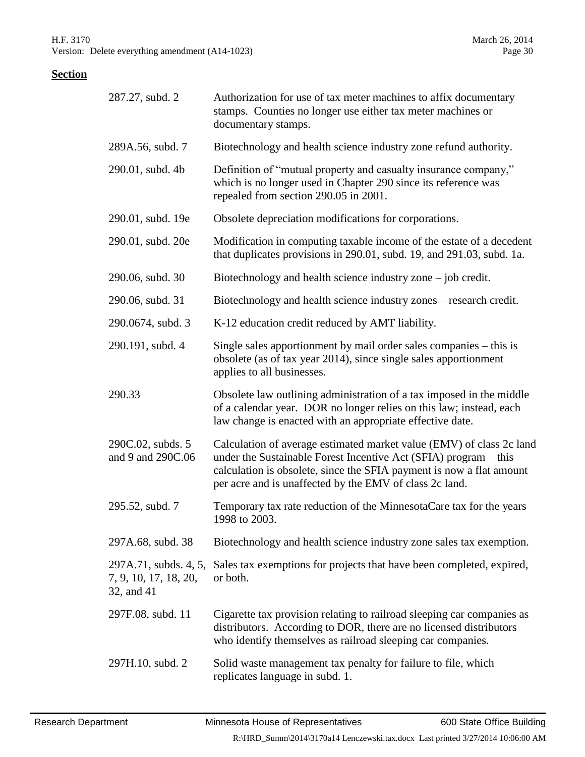| 287.27, subd. 2                                              | Authorization for use of tax meter machines to affix documentary<br>stamps. Counties no longer use either tax meter machines or<br>documentary stamps.                                                                                                                      |
|--------------------------------------------------------------|-----------------------------------------------------------------------------------------------------------------------------------------------------------------------------------------------------------------------------------------------------------------------------|
| 289A.56, subd. 7                                             | Biotechnology and health science industry zone refund authority.                                                                                                                                                                                                            |
| 290.01, subd. 4b                                             | Definition of "mutual property and casualty insurance company,"<br>which is no longer used in Chapter 290 since its reference was<br>repealed from section 290.05 in 2001.                                                                                                  |
| 290.01, subd. 19e                                            | Obsolete depreciation modifications for corporations.                                                                                                                                                                                                                       |
| 290.01, subd. 20e                                            | Modification in computing taxable income of the estate of a decedent<br>that duplicates provisions in 290.01, subd. 19, and 291.03, subd. 1a.                                                                                                                               |
| 290.06, subd. 30                                             | Biotechnology and health science industry zone $-$ job credit.                                                                                                                                                                                                              |
| 290.06, subd. 31                                             | Biotechnology and health science industry zones – research credit.                                                                                                                                                                                                          |
| 290.0674, subd. 3                                            | K-12 education credit reduced by AMT liability.                                                                                                                                                                                                                             |
| 290.191, subd. 4                                             | Single sales apportionment by mail order sales companies – this is<br>obsolete (as of tax year 2014), since single sales apportionment<br>applies to all businesses.                                                                                                        |
| 290.33                                                       | Obsolete law outlining administration of a tax imposed in the middle<br>of a calendar year. DOR no longer relies on this law; instead, each<br>law change is enacted with an appropriate effective date.                                                                    |
| 290C.02, subds. 5<br>and 9 and 290C.06                       | Calculation of average estimated market value (EMV) of class 2c land<br>under the Sustainable Forest Incentive Act (SFIA) program – this<br>calculation is obsolete, since the SFIA payment is now a flat amount<br>per acre and is unaffected by the EMV of class 2c land. |
| 295.52, subd. 7                                              | Temporary tax rate reduction of the MinnesotaCare tax for the years<br>1998 to 2003.                                                                                                                                                                                        |
| 297A.68, subd. 38                                            | Biotechnology and health science industry zone sales tax exemption.                                                                                                                                                                                                         |
| 297A.71, subds. 4, 5,<br>7, 9, 10, 17, 18, 20,<br>32, and 41 | Sales tax exemptions for projects that have been completed, expired,<br>or both.                                                                                                                                                                                            |
| 297F.08, subd. 11                                            | Cigarette tax provision relating to railroad sleeping car companies as<br>distributors. According to DOR, there are no licensed distributors<br>who identify themselves as railroad sleeping car companies.                                                                 |
| 297H.10, subd. 2                                             | Solid waste management tax penalty for failure to file, which<br>replicates language in subd. 1.                                                                                                                                                                            |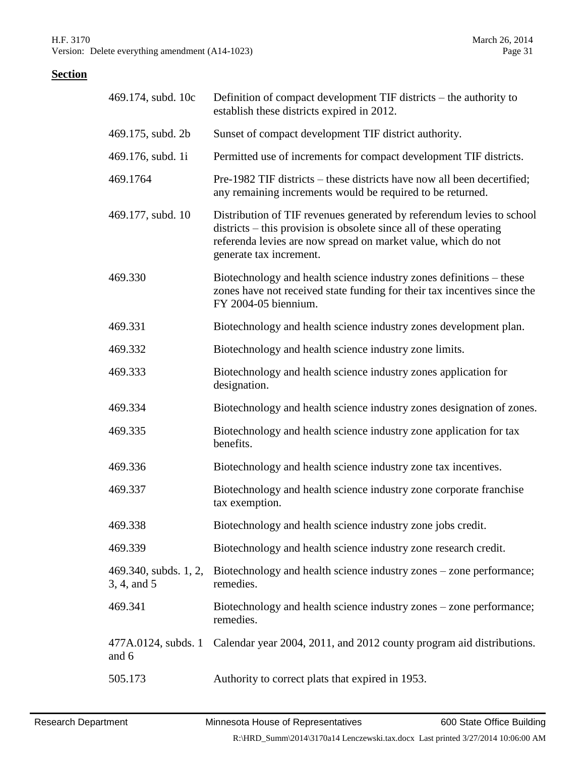| 469.174, subd. 10c                   | Definition of compact development TIF districts – the authority to<br>establish these districts expired in 2012.                                                                                                                         |
|--------------------------------------|------------------------------------------------------------------------------------------------------------------------------------------------------------------------------------------------------------------------------------------|
| 469.175, subd. 2b                    | Sunset of compact development TIF district authority.                                                                                                                                                                                    |
| 469.176, subd. 1i                    | Permitted use of increments for compact development TIF districts.                                                                                                                                                                       |
| 469.1764                             | Pre-1982 TIF districts – these districts have now all been decertified;<br>any remaining increments would be required to be returned.                                                                                                    |
| 469.177, subd. 10                    | Distribution of TIF revenues generated by referendum levies to school<br>districts – this provision is obsolete since all of these operating<br>referenda levies are now spread on market value, which do not<br>generate tax increment. |
| 469.330                              | Biotechnology and health science industry zones definitions – these<br>zones have not received state funding for their tax incentives since the<br>FY 2004-05 biennium.                                                                  |
| 469.331                              | Biotechnology and health science industry zones development plan.                                                                                                                                                                        |
| 469.332                              | Biotechnology and health science industry zone limits.                                                                                                                                                                                   |
| 469.333                              | Biotechnology and health science industry zones application for<br>designation.                                                                                                                                                          |
| 469.334                              | Biotechnology and health science industry zones designation of zones.                                                                                                                                                                    |
| 469.335                              | Biotechnology and health science industry zone application for tax<br>benefits.                                                                                                                                                          |
| 469.336                              | Biotechnology and health science industry zone tax incentives.                                                                                                                                                                           |
| 469.337                              | Biotechnology and health science industry zone corporate franchise<br>tax exemption.                                                                                                                                                     |
| 469.338                              | Biotechnology and health science industry zone jobs credit.                                                                                                                                                                              |
| 469.339                              | Biotechnology and health science industry zone research credit.                                                                                                                                                                          |
| 469.340, subds. 1, 2,<br>3, 4, and 5 | Biotechnology and health science industry zones - zone performance;<br>remedies.                                                                                                                                                         |
| 469.341                              | Biotechnology and health science industry zones – zone performance;<br>remedies.                                                                                                                                                         |
| 477A.0124, subds. 1<br>and 6         | Calendar year 2004, 2011, and 2012 county program aid distributions.                                                                                                                                                                     |
| 505.173                              | Authority to correct plats that expired in 1953.                                                                                                                                                                                         |
|                                      |                                                                                                                                                                                                                                          |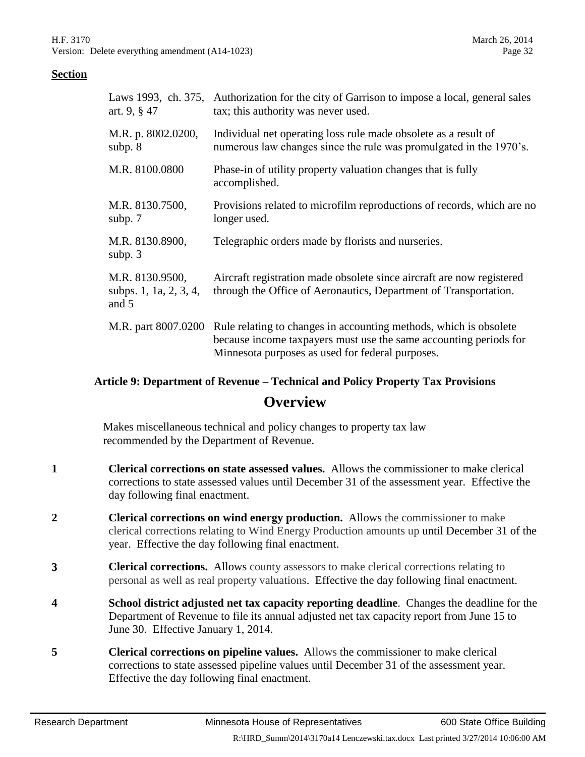| Laws 1993, ch. 375,<br>art. $9, § 47$              | Authorization for the city of Garrison to impose a local, general sales<br>tax; this authority was never used.                                                                             |
|----------------------------------------------------|--------------------------------------------------------------------------------------------------------------------------------------------------------------------------------------------|
| M.R. p. 8002.0200,<br>subp. $8$                    | Individual net operating loss rule made obsolete as a result of<br>numerous law changes since the rule was promulgated in the 1970's.                                                      |
| M.R. 8100.0800                                     | Phase-in of utility property valuation changes that is fully<br>accomplished.                                                                                                              |
| M.R. 8130.7500,<br>subp. 7                         | Provisions related to microfilm reproductions of records, which are no<br>longer used.                                                                                                     |
| M.R. 8130.8900,<br>subp. $3$                       | Telegraphic orders made by florists and nurseries.                                                                                                                                         |
| M.R. 8130.9500,<br>subps. 1, 1a, 2, 3, 4,<br>and 5 | Aircraft registration made obsolete since aircraft are now registered<br>through the Office of Aeronautics, Department of Transportation.                                                  |
| M.R. part 8007.0200                                | Rule relating to changes in accounting methods, which is obsolete<br>because income taxpayers must use the same accounting periods for<br>Minnesota purposes as used for federal purposes. |

# **Article 9: Department of Revenue – Technical and Policy Property Tax Provisions Overview**

Makes miscellaneous technical and policy changes to property tax law recommended by the Department of Revenue.

- **1 Clerical corrections on state assessed values.** Allows the commissioner to make clerical corrections to state assessed values until December 31 of the assessment year. Effective the day following final enactment.
- **2 Clerical corrections on wind energy production.** Allows the commissioner to make clerical corrections relating to Wind Energy Production amounts up until December 31 of the year. Effective the day following final enactment.
- **3 Clerical corrections.** Allows county assessors to make clerical corrections relating to personal as well as real property valuations. Effective the day following final enactment.
- **4 School district adjusted net tax capacity reporting deadline**. Changes the deadline for the Department of Revenue to file its annual adjusted net tax capacity report from June 15 to June 30. Effective January 1, 2014.
- **5 Clerical corrections on pipeline values.** Allows the commissioner to make clerical corrections to state assessed pipeline values until December 31 of the assessment year. Effective the day following final enactment.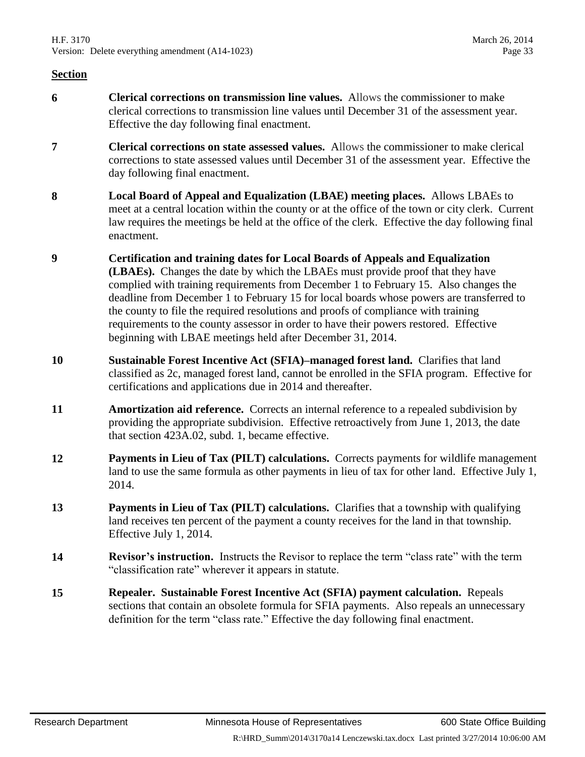- **6 Clerical corrections on transmission line values.** Allows the commissioner to make clerical corrections to transmission line values until December 31 of the assessment year. Effective the day following final enactment.
- **7 Clerical corrections on state assessed values.** Allows the commissioner to make clerical corrections to state assessed values until December 31 of the assessment year. Effective the day following final enactment.
- **8 Local Board of Appeal and Equalization (LBAE) meeting places.** Allows LBAEs to meet at a central location within the county or at the office of the town or city clerk. Current law requires the meetings be held at the office of the clerk. Effective the day following final enactment.
- **9 Certification and training dates for Local Boards of Appeals and Equalization (LBAEs).** Changes the date by which the LBAEs must provide proof that they have complied with training requirements from December 1 to February 15. Also changes the deadline from December 1 to February 15 for local boards whose powers are transferred to the county to file the required resolutions and proofs of compliance with training requirements to the county assessor in order to have their powers restored. Effective beginning with LBAE meetings held after December 31, 2014.
- **10 Sustainable Forest Incentive Act (SFIA)–managed forest land.** Clarifies that land classified as 2c, managed forest land, cannot be enrolled in the SFIA program. Effective for certifications and applications due in 2014 and thereafter.
- **11 Amortization aid reference.** Corrects an internal reference to a repealed subdivision by providing the appropriate subdivision. Effective retroactively from June 1, 2013, the date that section 423A.02, subd. 1, became effective.
- **12 Payments in Lieu of Tax (PILT) calculations.** Corrects payments for wildlife management land to use the same formula as other payments in lieu of tax for other land. Effective July 1, 2014.
- **13 Payments in Lieu of Tax (PILT) calculations.** Clarifies that a township with qualifying land receives ten percent of the payment a county receives for the land in that township. Effective July 1, 2014.
- **14 Revisor's instruction.** Instructs the Revisor to replace the term "class rate" with the term "classification rate" wherever it appears in statute.
- **15 Repealer. Sustainable Forest Incentive Act (SFIA) payment calculation.** Repeals sections that contain an obsolete formula for SFIA payments. Also repeals an unnecessary definition for the term "class rate." Effective the day following final enactment.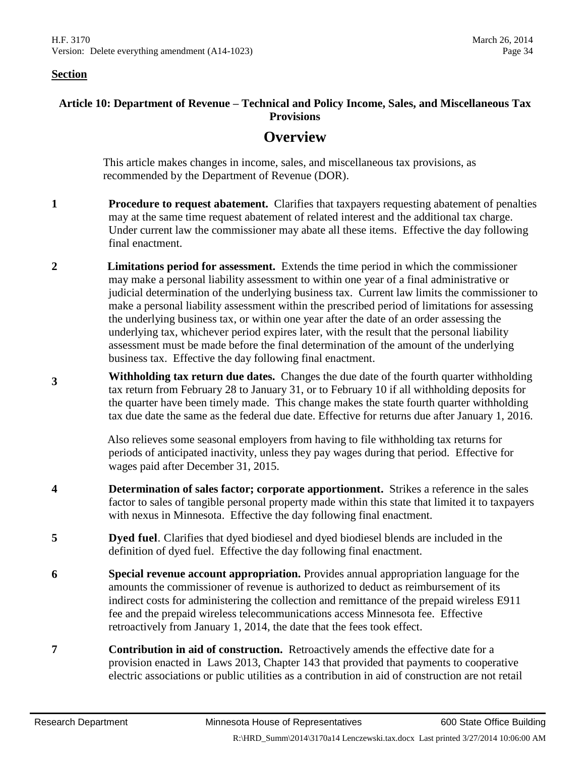#### **Article 10: Department of Revenue – Technical and Policy Income, Sales, and Miscellaneous Tax Provisions**

# **Overview**

This article makes changes in income, sales, and miscellaneous tax provisions, as recommended by the Department of Revenue (DOR).

- **1 Procedure to request abatement.** Clarifies that taxpayers requesting abatement of penalties may at the same time request abatement of related interest and the additional tax charge. Under current law the commissioner may abate all these items. Effective the day following final enactment.
- **2 Limitations period for assessment.** Extends the time period in which the commissioner may make a personal liability assessment to within one year of a final administrative or judicial determination of the underlying business tax. Current law limits the commissioner to make a personal liability assessment within the prescribed period of limitations for assessing the underlying business tax, or within one year after the date of an order assessing the underlying tax, whichever period expires later, with the result that the personal liability assessment must be made before the final determination of the amount of the underlying business tax. Effective the day following final enactment.
- **<sup>3</sup> Withholding tax return due dates.** Changes the due date of the fourth quarter withholding tax return from February 28 to January 31, or to February 10 if all withholding deposits for the quarter have been timely made. This change makes the state fourth quarter withholding tax due date the same as the federal due date. Effective for returns due after January 1, 2016.

Also relieves some seasonal employers from having to file withholding tax returns for periods of anticipated inactivity, unless they pay wages during that period. Effective for wages paid after December 31, 2015.

- **4 Determination of sales factor; corporate apportionment.** Strikes a reference in the sales factor to sales of tangible personal property made within this state that limited it to taxpayers with nexus in Minnesota. Effective the day following final enactment.
- **5 Dyed fuel**. Clarifies that dyed biodiesel and dyed biodiesel blends are included in the definition of dyed fuel. Effective the day following final enactment.
- **6 Special revenue account appropriation.** Provides annual appropriation language for the amounts the commissioner of revenue is authorized to deduct as reimbursement of its indirect costs for administering the collection and remittance of the prepaid wireless E911 fee and the prepaid wireless telecommunications access Minnesota fee. Effective retroactively from January 1, 2014, the date that the fees took effect.
- **7 Contribution in aid of construction.** Retroactively amends the effective date for a provision enacted in Laws 2013, Chapter 143 that provided that payments to cooperative electric associations or public utilities as a contribution in aid of construction are not retail